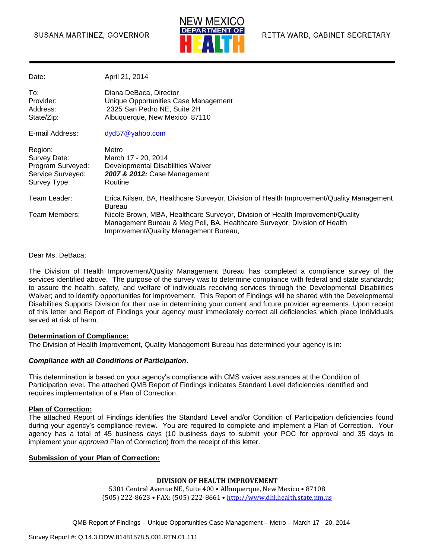

Date: April 21, 2014

| To:<br>Provider:<br>Address:<br>State/Zip:                                        | Diana DeBaca, Director<br>Unique Opportunities Case Management<br>2325 San Pedro NE, Suite 2H<br>Albuquerque, New Mexico 87110                                                                        |
|-----------------------------------------------------------------------------------|-------------------------------------------------------------------------------------------------------------------------------------------------------------------------------------------------------|
| E-mail Address:                                                                   | dyd57@yahoo.com                                                                                                                                                                                       |
| Region:<br>Survey Date:<br>Program Surveyed:<br>Service Surveyed:<br>Survey Type: | Metro<br>March 17 - 20, 2014<br>Developmental Disabilities Waiver<br>2007 & 2012: Case Management<br>Routine                                                                                          |
| Team Leader:                                                                      | Erica Nilsen, BA, Healthcare Surveyor, Division of Health Improvement/Quality Management<br><b>Bureau</b>                                                                                             |
| Team Members:                                                                     | Nicole Brown, MBA, Healthcare Surveyor, Division of Health Improvement/Quality<br>Management Bureau & Meg Pell, BA, Healthcare Surveyor, Division of Health<br>Improvement/Quality Management Bureau, |

Dear Ms. DeBaca;

The Division of Health Improvement/Quality Management Bureau has completed a compliance survey of the services identified above. The purpose of the survey was to determine compliance with federal and state standards; to assure the health, safety, and welfare of individuals receiving services through the Developmental Disabilities Waiver; and to identify opportunities for improvement. This Report of Findings will be shared with the Developmental Disabilities Supports Division for their use in determining your current and future provider agreements. Upon receipt of this letter and Report of Findings your agency must immediately correct all deficiencies which place Individuals served at risk of harm.

#### **Determination of Compliance:**

The Division of Health Improvement, Quality Management Bureau has determined your agency is in:

#### *Compliance with all Conditions of Participation*.

This determination is based on your agency's compliance with CMS waiver assurances at the Condition of Participation level. The attached QMB Report of Findings indicates Standard Level deficiencies identified and requires implementation of a Plan of Correction.

#### **Plan of Correction:**

The attached Report of Findings identifies the Standard Level and/or Condition of Participation deficiencies found during your agency's compliance review. You are required to complete and implement a Plan of Correction. Your agency has a total of 45 business days (10 business days to submit your POC for approval and 35 days to implement your *approved* Plan of Correction) from the receipt of this letter.

#### **Submission of your Plan of Correction:**

#### **DIVISION OF HEALTH IMPROVEMENT**

5301 Central Avenue NE, Suite 400 • Albuquerque, New Mexico • 87108 (505) 222-8623 • FAX: (505) 222-8661 • http://www.dhi.health.state.nm.us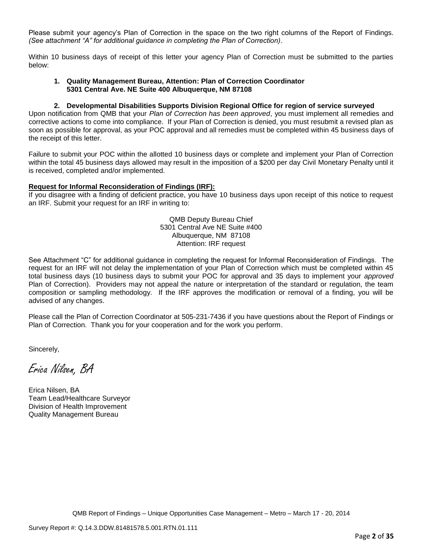Please submit your agency's Plan of Correction in the space on the two right columns of the Report of Findings. *(See attachment "A" for additional guidance in completing the Plan of Correction)*.

Within 10 business days of receipt of this letter your agency Plan of Correction must be submitted to the parties below:

#### **1. Quality Management Bureau, Attention: Plan of Correction Coordinator 5301 Central Ave. NE Suite 400 Albuquerque, NM 87108**

#### **2. Developmental Disabilities Supports Division Regional Office for region of service surveyed**

Upon notification from QMB that your *Plan of Correction has been approved*, you must implement all remedies and corrective actions to come into compliance. If your Plan of Correction is denied, you must resubmit a revised plan as soon as possible for approval, as your POC approval and all remedies must be completed within 45 business days of the receipt of this letter.

Failure to submit your POC within the allotted 10 business days or complete and implement your Plan of Correction within the total 45 business days allowed may result in the imposition of a \$200 per day Civil Monetary Penalty until it is received, completed and/or implemented.

#### **Request for Informal Reconsideration of Findings (IRF):**

If you disagree with a finding of deficient practice, you have 10 business days upon receipt of this notice to request an IRF. Submit your request for an IRF in writing to:

> QMB Deputy Bureau Chief 5301 Central Ave NE Suite #400 Albuquerque, NM 87108 Attention: IRF request

See Attachment "C" for additional guidance in completing the request for Informal Reconsideration of Findings. The request for an IRF will not delay the implementation of your Plan of Correction which must be completed within 45 total business days (10 business days to submit your POC for approval and 35 days to implement your *approved* Plan of Correction). Providers may not appeal the nature or interpretation of the standard or regulation, the team composition or sampling methodology. If the IRF approves the modification or removal of a finding, you will be advised of any changes.

Please call the Plan of Correction Coordinator at 505-231-7436 if you have questions about the Report of Findings or Plan of Correction. Thank you for your cooperation and for the work you perform.

Sincerely,

Erica Nilsen, BA

Erica Nilsen, BA Team Lead/Healthcare Surveyor Division of Health Improvement Quality Management Bureau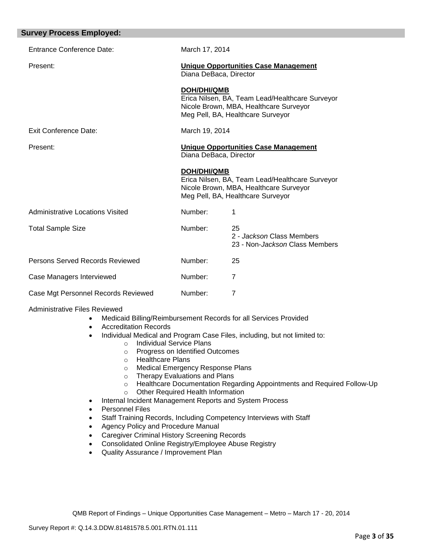| <b>Survey Process Employed:</b>     |                        |                                                                                                                                |
|-------------------------------------|------------------------|--------------------------------------------------------------------------------------------------------------------------------|
| Entrance Conference Date:           | March 17, 2014         |                                                                                                                                |
| Present:                            | Diana DeBaca, Director | <b>Unique Opportunities Case Management</b>                                                                                    |
|                                     | <b>DOH/DHI/QMB</b>     | Erica Nilsen, BA, Team Lead/Healthcare Surveyor<br>Nicole Brown, MBA, Healthcare Surveyor<br>Meg Pell, BA, Healthcare Surveyor |
| <b>Exit Conference Date:</b>        | March 19, 2014         |                                                                                                                                |
| Present:                            | Diana DeBaca, Director | <b>Unique Opportunities Case Management</b>                                                                                    |
|                                     | <b>DOH/DHI/QMB</b>     | Erica Nilsen, BA, Team Lead/Healthcare Surveyor<br>Nicole Brown, MBA, Healthcare Surveyor<br>Meg Pell, BA, Healthcare Surveyor |
| Administrative Locations Visited    | Number:                | 1                                                                                                                              |
| <b>Total Sample Size</b>            | Number:                | 25<br>2 - Jackson Class Members<br>23 - Non-Jackson Class Members                                                              |
| Persons Served Records Reviewed     | Number:                | 25                                                                                                                             |
| Case Managers Interviewed           | Number:                | $\overline{7}$                                                                                                                 |
| Case Mgt Personnel Records Reviewed | Number:                | $\overline{7}$                                                                                                                 |
|                                     |                        |                                                                                                                                |

#### Administrative Files Reviewed

- Medicaid Billing/Reimbursement Records for all Services Provided
- Accreditation Records
- Individual Medical and Program Case Files, including, but not limited to:
	- o Individual Service Plans
		- o Progress on Identified Outcomes
		- o Healthcare Plans
	- o Medical Emergency Response Plans
	- o Therapy Evaluations and Plans<br>
	o Healthcare Documentation Rega
	- Healthcare Documentation Regarding Appointments and Required Follow-Up
	- o Other Required Health Information
- Internal Incident Management Reports and System Process
- Personnel Files
- Staff Training Records, Including Competency Interviews with Staff
- Agency Policy and Procedure Manual
- Caregiver Criminal History Screening Records
- Consolidated Online Registry/Employee Abuse Registry
- Quality Assurance / Improvement Plan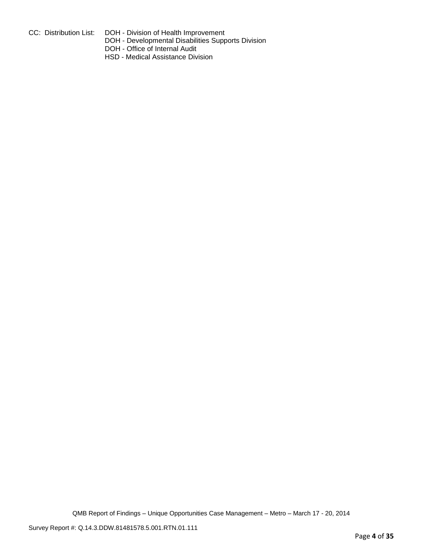- 
- CC: Distribution List: DOH Division of Health Improvement
	- DOH Developmental Disabilities Supports Division
	- DOH Office of Internal Audit
	- HSD Medical Assistance Division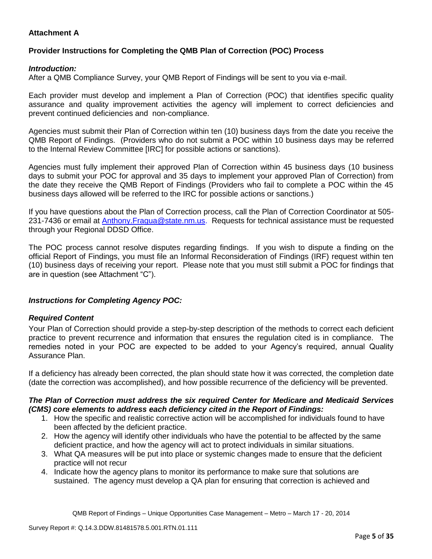# **Attachment A**

# **Provider Instructions for Completing the QMB Plan of Correction (POC) Process**

## *Introduction:*

After a QMB Compliance Survey, your QMB Report of Findings will be sent to you via e-mail.

Each provider must develop and implement a Plan of Correction (POC) that identifies specific quality assurance and quality improvement activities the agency will implement to correct deficiencies and prevent continued deficiencies and non-compliance.

Agencies must submit their Plan of Correction within ten (10) business days from the date you receive the QMB Report of Findings. (Providers who do not submit a POC within 10 business days may be referred to the Internal Review Committee [IRC] for possible actions or sanctions).

Agencies must fully implement their approved Plan of Correction within 45 business days (10 business days to submit your POC for approval and 35 days to implement your approved Plan of Correction) from the date they receive the QMB Report of Findings (Providers who fail to complete a POC within the 45 business days allowed will be referred to the IRC for possible actions or sanctions.)

If you have questions about the Plan of Correction process, call the Plan of Correction Coordinator at 505- 231-7436 or email at **Anthony.Fragua@state.nm.us.** Requests for technical assistance must be requested through your Regional DDSD Office.

The POC process cannot resolve disputes regarding findings. If you wish to dispute a finding on the official Report of Findings, you must file an Informal Reconsideration of Findings (IRF) request within ten (10) business days of receiving your report. Please note that you must still submit a POC for findings that are in question (see Attachment "C").

# *Instructions for Completing Agency POC:*

### *Required Content*

Your Plan of Correction should provide a step-by-step description of the methods to correct each deficient practice to prevent recurrence and information that ensures the regulation cited is in compliance. The remedies noted in your POC are expected to be added to your Agency's required, annual Quality Assurance Plan.

If a deficiency has already been corrected, the plan should state how it was corrected, the completion date (date the correction was accomplished), and how possible recurrence of the deficiency will be prevented.

### *The Plan of Correction must address the six required Center for Medicare and Medicaid Services (CMS) core elements to address each deficiency cited in the Report of Findings:*

- 1. How the specific and realistic corrective action will be accomplished for individuals found to have been affected by the deficient practice.
- 2. How the agency will identify other individuals who have the potential to be affected by the same deficient practice, and how the agency will act to protect individuals in similar situations.
- 3. What QA measures will be put into place or systemic changes made to ensure that the deficient practice will not recur
- 4. Indicate how the agency plans to monitor its performance to make sure that solutions are sustained. The agency must develop a QA plan for ensuring that correction is achieved and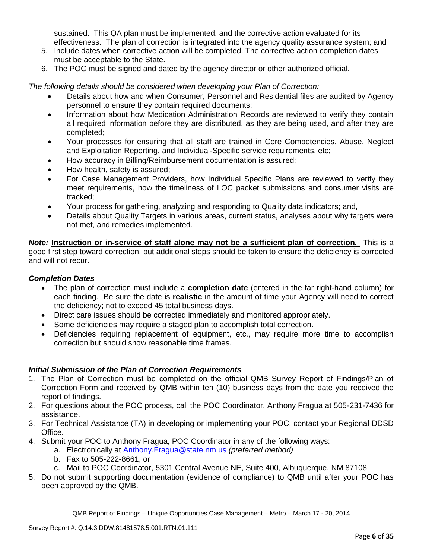sustained. This QA plan must be implemented, and the corrective action evaluated for its effectiveness. The plan of correction is integrated into the agency quality assurance system; and

- 5. Include dates when corrective action will be completed. The corrective action completion dates must be acceptable to the State.
- 6. The POC must be signed and dated by the agency director or other authorized official.

*The following details should be considered when developing your Plan of Correction:*

- Details about how and when Consumer, Personnel and Residential files are audited by Agency personnel to ensure they contain required documents;
- Information about how Medication Administration Records are reviewed to verify they contain all required information before they are distributed, as they are being used, and after they are completed;
- Your processes for ensuring that all staff are trained in Core Competencies, Abuse, Neglect and Exploitation Reporting, and Individual-Specific service requirements, etc;
- How accuracy in Billing/Reimbursement documentation is assured;
- How health, safety is assured;
- For Case Management Providers, how Individual Specific Plans are reviewed to verify they meet requirements, how the timeliness of LOC packet submissions and consumer visits are tracked;
- Your process for gathering, analyzing and responding to Quality data indicators; and,
- Details about Quality Targets in various areas, current status, analyses about why targets were not met, and remedies implemented.

*Note:* **Instruction or in-service of staff alone may not be a sufficient plan of correction.** This is a good first step toward correction, but additional steps should be taken to ensure the deficiency is corrected and will not recur.

# *Completion Dates*

- The plan of correction must include a **completion date** (entered in the far right-hand column) for each finding. Be sure the date is **realistic** in the amount of time your Agency will need to correct the deficiency; not to exceed 45 total business days.
- Direct care issues should be corrected immediately and monitored appropriately.
- Some deficiencies may require a staged plan to accomplish total correction.
- Deficiencies requiring replacement of equipment, etc., may require more time to accomplish correction but should show reasonable time frames.

# *Initial Submission of the Plan of Correction Requirements*

- 1. The Plan of Correction must be completed on the official QMB Survey Report of Findings/Plan of Correction Form and received by QMB within ten (10) business days from the date you received the report of findings.
- 2. For questions about the POC process, call the POC Coordinator, Anthony Fragua at 505-231-7436 for assistance.
- 3. For Technical Assistance (TA) in developing or implementing your POC, contact your Regional DDSD Office.
- 4. Submit your POC to Anthony Fragua, POC Coordinator in any of the following ways:
	- a. Electronically at Anthony.Fragua@state.nm.us *(preferred method)*
		- b. Fax to 505-222-8661, or
		- c. Mail to POC Coordinator, 5301 Central Avenue NE, Suite 400, Albuquerque, NM 87108
- 5. Do not submit supporting documentation (evidence of compliance) to QMB until after your POC has been approved by the QMB.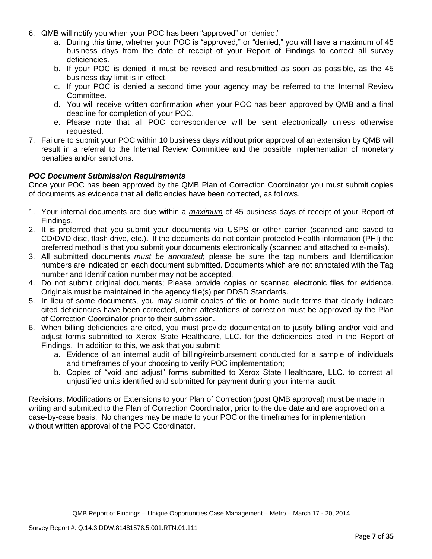- 6. QMB will notify you when your POC has been "approved" or "denied."
	- a. During this time, whether your POC is "approved," or "denied," you will have a maximum of 45 business days from the date of receipt of your Report of Findings to correct all survey deficiencies.
	- b. If your POC is denied, it must be revised and resubmitted as soon as possible, as the 45 business day limit is in effect.
	- c. If your POC is denied a second time your agency may be referred to the Internal Review Committee.
	- d. You will receive written confirmation when your POC has been approved by QMB and a final deadline for completion of your POC.
	- e. Please note that all POC correspondence will be sent electronically unless otherwise requested.
- 7. Failure to submit your POC within 10 business days without prior approval of an extension by QMB will result in a referral to the Internal Review Committee and the possible implementation of monetary penalties and/or sanctions.

## *POC Document Submission Requirements*

Once your POC has been approved by the QMB Plan of Correction Coordinator you must submit copies of documents as evidence that all deficiencies have been corrected, as follows.

- 1. Your internal documents are due within a *maximum* of 45 business days of receipt of your Report of Findings.
- 2. It is preferred that you submit your documents via USPS or other carrier (scanned and saved to CD/DVD disc, flash drive, etc.). If the documents do not contain protected Health information (PHI) the preferred method is that you submit your documents electronically (scanned and attached to e-mails).
- 3. All submitted documents *must be annotated*; please be sure the tag numbers and Identification numbers are indicated on each document submitted. Documents which are not annotated with the Tag number and Identification number may not be accepted.
- 4. Do not submit original documents; Please provide copies or scanned electronic files for evidence. Originals must be maintained in the agency file(s) per DDSD Standards.
- 5. In lieu of some documents, you may submit copies of file or home audit forms that clearly indicate cited deficiencies have been corrected, other attestations of correction must be approved by the Plan of Correction Coordinator prior to their submission.
- 6. When billing deficiencies are cited, you must provide documentation to justify billing and/or void and adjust forms submitted to Xerox State Healthcare, LLC. for the deficiencies cited in the Report of Findings. In addition to this, we ask that you submit:
	- a. Evidence of an internal audit of billing/reimbursement conducted for a sample of individuals and timeframes of your choosing to verify POC implementation;
	- b. Copies of "void and adjust" forms submitted to Xerox State Healthcare, LLC. to correct all unjustified units identified and submitted for payment during your internal audit.

Revisions, Modifications or Extensions to your Plan of Correction (post QMB approval) must be made in writing and submitted to the Plan of Correction Coordinator, prior to the due date and are approved on a case-by-case basis. No changes may be made to your POC or the timeframes for implementation without written approval of the POC Coordinator.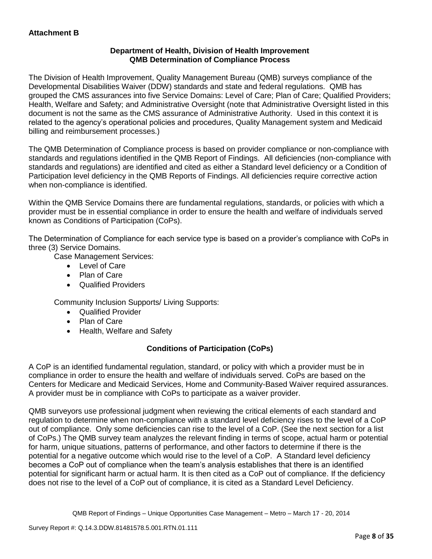# **Department of Health, Division of Health Improvement QMB Determination of Compliance Process**

The Division of Health Improvement, Quality Management Bureau (QMB) surveys compliance of the Developmental Disabilities Waiver (DDW) standards and state and federal regulations. QMB has grouped the CMS assurances into five Service Domains: Level of Care; Plan of Care; Qualified Providers; Health, Welfare and Safety; and Administrative Oversight (note that Administrative Oversight listed in this document is not the same as the CMS assurance of Administrative Authority. Used in this context it is related to the agency's operational policies and procedures, Quality Management system and Medicaid billing and reimbursement processes.)

The QMB Determination of Compliance process is based on provider compliance or non-compliance with standards and regulations identified in the QMB Report of Findings. All deficiencies (non-compliance with standards and regulations) are identified and cited as either a Standard level deficiency or a Condition of Participation level deficiency in the QMB Reports of Findings. All deficiencies require corrective action when non-compliance is identified.

Within the QMB Service Domains there are fundamental regulations, standards, or policies with which a provider must be in essential compliance in order to ensure the health and welfare of individuals served known as Conditions of Participation (CoPs).

The Determination of Compliance for each service type is based on a provider's compliance with CoPs in three (3) Service Domains.

Case Management Services:

- Level of Care
- Plan of Care
- Qualified Providers

Community Inclusion Supports/ Living Supports:

- Qualified Provider
- Plan of Care
- Health, Welfare and Safety

# **Conditions of Participation (CoPs)**

A CoP is an identified fundamental regulation, standard, or policy with which a provider must be in compliance in order to ensure the health and welfare of individuals served. CoPs are based on the Centers for Medicare and Medicaid Services, Home and Community-Based Waiver required assurances. A provider must be in compliance with CoPs to participate as a waiver provider.

QMB surveyors use professional judgment when reviewing the critical elements of each standard and regulation to determine when non-compliance with a standard level deficiency rises to the level of a CoP out of compliance. Only some deficiencies can rise to the level of a CoP. (See the next section for a list of CoPs.) The QMB survey team analyzes the relevant finding in terms of scope, actual harm or potential for harm, unique situations, patterns of performance, and other factors to determine if there is the potential for a negative outcome which would rise to the level of a CoP. A Standard level deficiency becomes a CoP out of compliance when the team's analysis establishes that there is an identified potential for significant harm or actual harm. It is then cited as a CoP out of compliance. If the deficiency does not rise to the level of a CoP out of compliance, it is cited as a Standard Level Deficiency.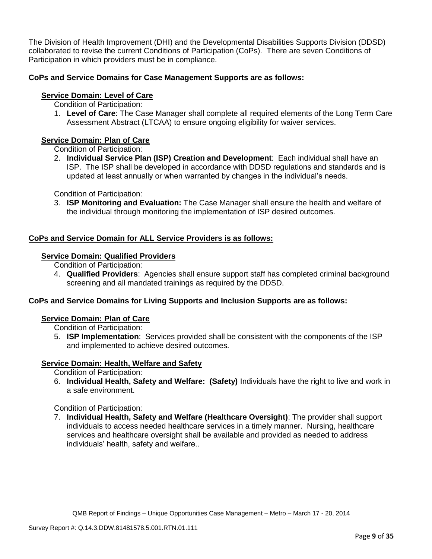The Division of Health Improvement (DHI) and the Developmental Disabilities Supports Division (DDSD) collaborated to revise the current Conditions of Participation (CoPs). There are seven Conditions of Participation in which providers must be in compliance.

# **CoPs and Service Domains for Case Management Supports are as follows:**

# **Service Domain: Level of Care**

- Condition of Participation:
- 1. **Level of Care**: The Case Manager shall complete all required elements of the Long Term Care Assessment Abstract (LTCAA) to ensure ongoing eligibility for waiver services.

# **Service Domain: Plan of Care**

Condition of Participation:

2. **Individual Service Plan (ISP) Creation and Development**: Each individual shall have an ISP. The ISP shall be developed in accordance with DDSD regulations and standards and is updated at least annually or when warranted by changes in the individual's needs.

Condition of Participation:

3. **ISP Monitoring and Evaluation:** The Case Manager shall ensure the health and welfare of the individual through monitoring the implementation of ISP desired outcomes.

# **CoPs and Service Domain for ALL Service Providers is as follows:**

# **Service Domain: Qualified Providers**

- Condition of Participation:
- 4. **Qualified Providers**: Agencies shall ensure support staff has completed criminal background screening and all mandated trainings as required by the DDSD.

# **CoPs and Service Domains for Living Supports and Inclusion Supports are as follows:**

### **Service Domain: Plan of Care**

Condition of Participation:

5. **ISP Implementation**: Services provided shall be consistent with the components of the ISP and implemented to achieve desired outcomes.

# **Service Domain: Health, Welfare and Safety**

Condition of Participation:

6. **Individual Health, Safety and Welfare: (Safety)** Individuals have the right to live and work in a safe environment.

Condition of Participation:

7. **Individual Health, Safety and Welfare (Healthcare Oversight)**: The provider shall support individuals to access needed healthcare services in a timely manner. Nursing, healthcare services and healthcare oversight shall be available and provided as needed to address individuals' health, safety and welfare..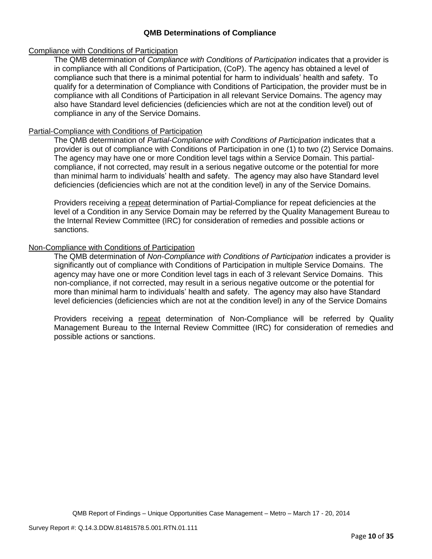## **QMB Determinations of Compliance**

### Compliance with Conditions of Participation

The QMB determination of *Compliance with Conditions of Participation* indicates that a provider is in compliance with all Conditions of Participation, (CoP). The agency has obtained a level of compliance such that there is a minimal potential for harm to individuals' health and safety. To qualify for a determination of Compliance with Conditions of Participation, the provider must be in compliance with all Conditions of Participation in all relevant Service Domains. The agency may also have Standard level deficiencies (deficiencies which are not at the condition level) out of compliance in any of the Service Domains.

## Partial-Compliance with Conditions of Participation

The QMB determination of *Partial-Compliance with Conditions of Participation* indicates that a provider is out of compliance with Conditions of Participation in one (1) to two (2) Service Domains. The agency may have one or more Condition level tags within a Service Domain. This partialcompliance, if not corrected, may result in a serious negative outcome or the potential for more than minimal harm to individuals' health and safety. The agency may also have Standard level deficiencies (deficiencies which are not at the condition level) in any of the Service Domains.

Providers receiving a repeat determination of Partial-Compliance for repeat deficiencies at the level of a Condition in any Service Domain may be referred by the Quality Management Bureau to the Internal Review Committee (IRC) for consideration of remedies and possible actions or sanctions.

## Non-Compliance with Conditions of Participation

The QMB determination of *Non-Compliance with Conditions of Participation* indicates a provider is significantly out of compliance with Conditions of Participation in multiple Service Domains. The agency may have one or more Condition level tags in each of 3 relevant Service Domains. This non-compliance, if not corrected, may result in a serious negative outcome or the potential for more than minimal harm to individuals' health and safety. The agency may also have Standard level deficiencies (deficiencies which are not at the condition level) in any of the Service Domains

Providers receiving a repeat determination of Non-Compliance will be referred by Quality Management Bureau to the Internal Review Committee (IRC) for consideration of remedies and possible actions or sanctions.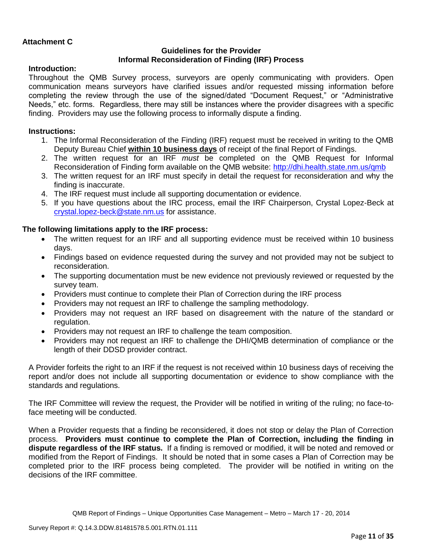## **Attachment C**

## **Guidelines for the Provider Informal Reconsideration of Finding (IRF) Process**

## **Introduction:**

Throughout the QMB Survey process, surveyors are openly communicating with providers. Open communication means surveyors have clarified issues and/or requested missing information before completing the review through the use of the signed/dated "Document Request," or "Administrative Needs," etc. forms. Regardless, there may still be instances where the provider disagrees with a specific finding. Providers may use the following process to informally dispute a finding.

### **Instructions:**

- 1. The Informal Reconsideration of the Finding (IRF) request must be received in writing to the QMB Deputy Bureau Chief **within 10 business days** of receipt of the final Report of Findings.
- 2. The written request for an IRF *must* be completed on the QMB Request for Informal Reconsideration of Finding form available on the QMB website:<http://dhi.health.state.nm.us/qmb>
- 3. The written request for an IRF must specify in detail the request for reconsideration and why the finding is inaccurate.
- 4. The IRF request must include all supporting documentation or evidence.
- 5. If you have questions about the IRC process, email the IRF Chairperson, Crystal Lopez-Beck at [crystal.lopez-beck@state.nm.us](mailto:crystal.lopez-beck@state.nm.us) for assistance.

## **The following limitations apply to the IRF process:**

- The written request for an IRF and all supporting evidence must be received within 10 business days.
- Findings based on evidence requested during the survey and not provided may not be subject to reconsideration.
- The supporting documentation must be new evidence not previously reviewed or requested by the survey team.
- Providers must continue to complete their Plan of Correction during the IRF process
- Providers may not request an IRF to challenge the sampling methodology.
- Providers may not request an IRF based on disagreement with the nature of the standard or regulation.
- Providers may not request an IRF to challenge the team composition.
- Providers may not request an IRF to challenge the DHI/QMB determination of compliance or the length of their DDSD provider contract.

A Provider forfeits the right to an IRF if the request is not received within 10 business days of receiving the report and/or does not include all supporting documentation or evidence to show compliance with the standards and regulations.

The IRF Committee will review the request, the Provider will be notified in writing of the ruling; no face-toface meeting will be conducted.

When a Provider requests that a finding be reconsidered, it does not stop or delay the Plan of Correction process. **Providers must continue to complete the Plan of Correction, including the finding in dispute regardless of the IRF status.** If a finding is removed or modified, it will be noted and removed or modified from the Report of Findings. It should be noted that in some cases a Plan of Correction may be completed prior to the IRF process being completed. The provider will be notified in writing on the decisions of the IRF committee.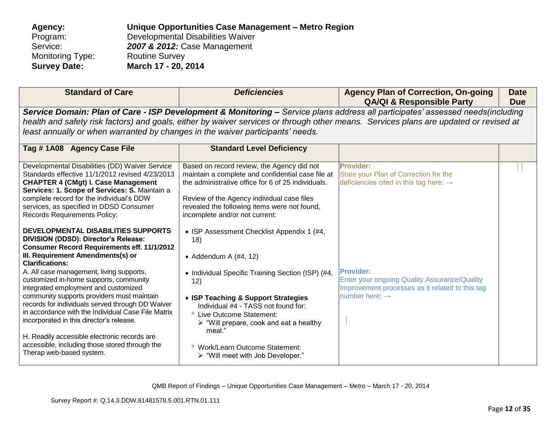| Agency:             | Unique Opportunities Case Management - Metro Region |
|---------------------|-----------------------------------------------------|
| Program:            | Developmental Disabilities Waiver                   |
| Service:            | 2007 & 2012: Case Management                        |
| Monitoring Type:    | <b>Routine Survey</b>                               |
| <b>Survey Date:</b> | March 17 - 20, 2014                                 |

| <b>Standard of Care</b>                                                                                                                                                                                                                                                                                                                                                      | <b>Deficiencies</b>                                                                                                                                                                                                                                                                   | <b>Agency Plan of Correction, On-going</b><br><b>QA/QI &amp; Responsible Party</b>                                                                                                                                                                                      | <b>Date</b><br><b>Due</b> |
|------------------------------------------------------------------------------------------------------------------------------------------------------------------------------------------------------------------------------------------------------------------------------------------------------------------------------------------------------------------------------|---------------------------------------------------------------------------------------------------------------------------------------------------------------------------------------------------------------------------------------------------------------------------------------|-------------------------------------------------------------------------------------------------------------------------------------------------------------------------------------------------------------------------------------------------------------------------|---------------------------|
| least annually or when warranted by changes in the waiver participants' needs.                                                                                                                                                                                                                                                                                               |                                                                                                                                                                                                                                                                                       | Service Domain: Plan of Care - ISP Development & Monitoring - Service plans address all participates' assessed needs(including<br>health and safety risk factors) and goals, either by waiver services or through other means. Services plans are updated or revised at |                           |
| Tag #1A08 Agency Case File                                                                                                                                                                                                                                                                                                                                                   | <b>Standard Level Deficiency</b>                                                                                                                                                                                                                                                      |                                                                                                                                                                                                                                                                         |                           |
| Developmental Disabilities (DD) Waiver Service<br>Standards effective 11/1/2012 revised 4/23/2013<br><b>CHAPTER 4 (CMgt) I. Case Management</b><br>Services: 1. Scope of Services: S. Maintain a<br>complete record for the individual's DDW<br>services, as specified in DDSD Consumer<br><b>Records Requirements Policy;</b><br><b>DEVELOPMENTAL DISABILITIES SUPPORTS</b> | Based on record review, the Agency did not<br>maintain a complete and confidential case file at<br>the administrative office for 6 of 25 individuals.<br>Review of the Agency individual case files<br>revealed the following items were not found,<br>incomplete and/or not current: | <b>Provider:</b><br>State your Plan of Correction for the<br>deficiencies cited in this tag here: $\rightarrow$                                                                                                                                                         |                           |
| DIVISION (DDSD): Director's Release:<br><b>Consumer Record Requirements eff. 11/1/2012</b><br>III. Requirement Amendments(s) or<br><b>Clarifications:</b>                                                                                                                                                                                                                    | • ISP Assessment Checklist Appendix 1 (#4,<br>18)<br>• Addendum A $(\#4, 12)$                                                                                                                                                                                                         |                                                                                                                                                                                                                                                                         |                           |
| A. All case management, living supports,<br>customized in-home supports, community<br>integrated employment and customized<br>community supports providers must maintain<br>records for individuals served through DD Waiver                                                                                                                                                 | • Individual Specific Training Section (ISP) (#4,<br>12)<br>• ISP Teaching & Support Strategies<br>Individual #4 - TASS not found for:                                                                                                                                                | <b>Provider:</b><br>Enter your ongoing Quality Assurance/Quality<br>Improvement processes as it related to this tag<br>number here: $\rightarrow$                                                                                                                       |                           |
| in accordance with the Individual Case File Matrix<br>incorporated in this director's release.<br>H. Readily accessible electronic records are<br>accessible, including those stored through the                                                                                                                                                                             | ° Live Outcome Statement:<br>$\triangleright$ "Will prepare, cook and eat a healthy<br>meal."<br><sup>o</sup> Work/Learn Outcome Statement:                                                                                                                                           |                                                                                                                                                                                                                                                                         |                           |
| Therap web-based system.                                                                                                                                                                                                                                                                                                                                                     | > "Will meet with Job Developer."                                                                                                                                                                                                                                                     |                                                                                                                                                                                                                                                                         |                           |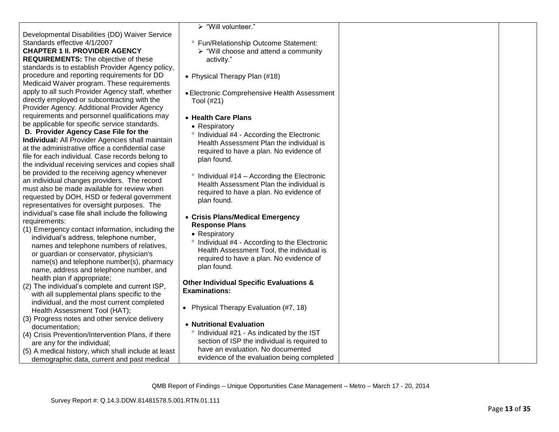|                                                                                                  | > "Will volunteer."                                  |  |
|--------------------------------------------------------------------------------------------------|------------------------------------------------------|--|
| Developmental Disabilities (DD) Waiver Service                                                   |                                                      |  |
| Standards effective 4/1/2007                                                                     | ° Fun/Relationship Outcome Statement:                |  |
| <b>CHAPTER 1 II. PROVIDER AGENCY</b>                                                             | $\triangleright$ "Will choose and attend a community |  |
| <b>REQUIREMENTS:</b> The objective of these                                                      | activity."                                           |  |
| standards is to establish Provider Agency policy,<br>procedure and reporting requirements for DD |                                                      |  |
| Medicaid Waiver program. These requirements                                                      | • Physical Therapy Plan (#18)                        |  |
| apply to all such Provider Agency staff, whether                                                 |                                                      |  |
| directly employed or subcontracting with the                                                     | • Electronic Comprehensive Health Assessment         |  |
| Provider Agency. Additional Provider Agency                                                      | Tool (#21)                                           |  |
| requirements and personnel qualifications may                                                    | • Health Care Plans                                  |  |
| be applicable for specific service standards.                                                    |                                                      |  |
| D. Provider Agency Case File for the                                                             | • Respiratory                                        |  |
| <b>Individual:</b> All Provider Agencies shall maintain                                          | ° Individual #4 - According the Electronic           |  |
| at the administrative office a confidential case                                                 | Health Assessment Plan the individual is             |  |
| file for each individual. Case records belong to                                                 | required to have a plan. No evidence of              |  |
| the individual receiving services and copies shall                                               | plan found.                                          |  |
| be provided to the receiving agency whenever                                                     | $\degree$ Individual #14 – According the Electronic  |  |
| an individual changes providers. The record                                                      | Health Assessment Plan the individual is             |  |
| must also be made available for review when                                                      | required to have a plan. No evidence of              |  |
| requested by DOH, HSD or federal government                                                      | plan found.                                          |  |
| representatives for oversight purposes. The                                                      |                                                      |  |
| individual's case file shall include the following                                               | • Crisis Plans/Medical Emergency                     |  |
| requirements:                                                                                    | <b>Response Plans</b>                                |  |
| (1) Emergency contact information, including the                                                 | • Respiratory                                        |  |
| individual's address, telephone number,                                                          | ° Individual #4 - According to the Electronic        |  |
| names and telephone numbers of relatives,                                                        | Health Assessment Tool, the individual is            |  |
| or guardian or conservator, physician's                                                          | required to have a plan. No evidence of              |  |
| name(s) and telephone number(s), pharmacy                                                        | plan found.                                          |  |
| name, address and telephone number, and                                                          |                                                      |  |
| health plan if appropriate;                                                                      | <b>Other Individual Specific Evaluations &amp;</b>   |  |
| (2) The individual's complete and current ISP,                                                   | <b>Examinations:</b>                                 |  |
| with all supplemental plans specific to the                                                      |                                                      |  |
| individual, and the most current completed                                                       | • Physical Therapy Evaluation (#7, 18)               |  |
| Health Assessment Tool (HAT);<br>(3) Progress notes and other service delivery                   |                                                      |  |
| documentation:                                                                                   | • Nutritional Evaluation                             |  |
| (4) Crisis Prevention/Intervention Plans, if there                                               | ° Individual #21 - As indicated by the IST           |  |
| are any for the individual;                                                                      | section of ISP the individual is required to         |  |
| (5) A medical history, which shall include at least                                              | have an evaluation. No documented                    |  |
| demographic data, current and past medical                                                       | evidence of the evaluation being completed           |  |
|                                                                                                  |                                                      |  |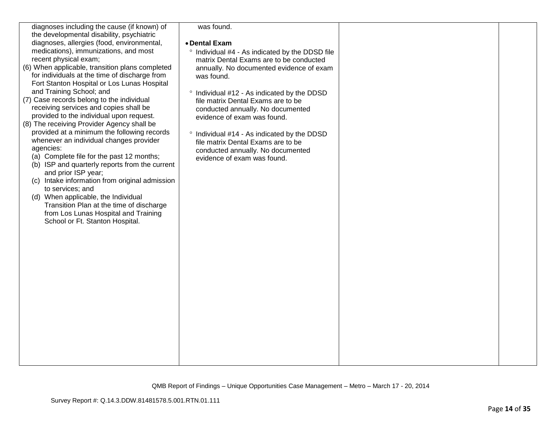| diagnoses including the cause (if known) of     | was found.                                             |  |
|-------------------------------------------------|--------------------------------------------------------|--|
| the developmental disability, psychiatric       |                                                        |  |
| diagnoses, allergies (food, environmental,      | • Dental Exam                                          |  |
| medications), immunizations, and most           | ° Individual #4 - As indicated by the DDSD file        |  |
| recent physical exam;                           | matrix Dental Exams are to be conducted                |  |
| (6) When applicable, transition plans completed | annually. No documented evidence of exam               |  |
| for individuals at the time of discharge from   | was found.                                             |  |
| Fort Stanton Hospital or Los Lunas Hospital     |                                                        |  |
| and Training School; and                        | <sup>o</sup> Individual #12 - As indicated by the DDSD |  |
| (7) Case records belong to the individual       | file matrix Dental Exams are to be                     |  |
| receiving services and copies shall be          | conducted annually. No documented                      |  |
| provided to the individual upon request.        | evidence of exam was found.                            |  |
| (8) The receiving Provider Agency shall be      |                                                        |  |
| provided at a minimum the following records     | ° Individual #14 - As indicated by the DDSD            |  |
| whenever an individual changes provider         | file matrix Dental Exams are to be                     |  |
| agencies:                                       | conducted annually. No documented                      |  |
| (a) Complete file for the past 12 months;       | evidence of exam was found.                            |  |
| (b) ISP and quarterly reports from the current  |                                                        |  |
| and prior ISP year;                             |                                                        |  |
| (c) Intake information from original admission  |                                                        |  |
| to services; and                                |                                                        |  |
| (d) When applicable, the Individual             |                                                        |  |
| Transition Plan at the time of discharge        |                                                        |  |
| from Los Lunas Hospital and Training            |                                                        |  |
| School or Ft. Stanton Hospital.                 |                                                        |  |
|                                                 |                                                        |  |
|                                                 |                                                        |  |
|                                                 |                                                        |  |
|                                                 |                                                        |  |
|                                                 |                                                        |  |
|                                                 |                                                        |  |
|                                                 |                                                        |  |
|                                                 |                                                        |  |
|                                                 |                                                        |  |
|                                                 |                                                        |  |
|                                                 |                                                        |  |
|                                                 |                                                        |  |
|                                                 |                                                        |  |
|                                                 |                                                        |  |
|                                                 |                                                        |  |
|                                                 |                                                        |  |
|                                                 |                                                        |  |
|                                                 |                                                        |  |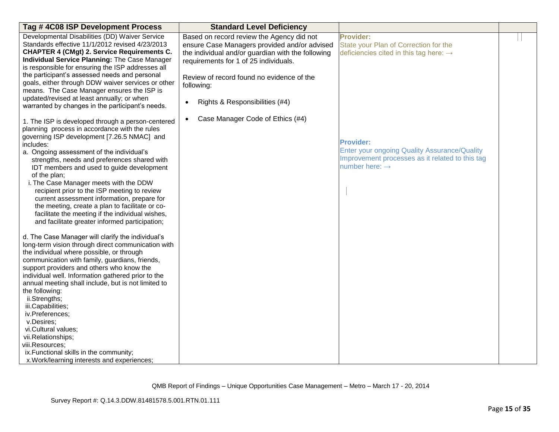| Tag #4C08 ISP Development Process                                                                                                                                                                                                                                                                                                                                                                                                                                                                                                                                                                                                                                                                                                                                                                                                                                                                                                                                                         | <b>Standard Level Deficiency</b>                                                                                                                                                                                                                                                                                                                   |                                                                                                                                                                                                                                                                      |  |
|-------------------------------------------------------------------------------------------------------------------------------------------------------------------------------------------------------------------------------------------------------------------------------------------------------------------------------------------------------------------------------------------------------------------------------------------------------------------------------------------------------------------------------------------------------------------------------------------------------------------------------------------------------------------------------------------------------------------------------------------------------------------------------------------------------------------------------------------------------------------------------------------------------------------------------------------------------------------------------------------|----------------------------------------------------------------------------------------------------------------------------------------------------------------------------------------------------------------------------------------------------------------------------------------------------------------------------------------------------|----------------------------------------------------------------------------------------------------------------------------------------------------------------------------------------------------------------------------------------------------------------------|--|
| Developmental Disabilities (DD) Waiver Service<br>Standards effective 11/1/2012 revised 4/23/2013<br><b>CHAPTER 4 (CMgt) 2. Service Requirements C.</b><br>Individual Service Planning: The Case Manager<br>is responsible for ensuring the ISP addresses all<br>the participant's assessed needs and personal<br>goals, either through DDW waiver services or other<br>means. The Case Manager ensures the ISP is<br>updated/revised at least annually; or when<br>warranted by changes in the participant's needs.<br>1. The ISP is developed through a person-centered<br>planning process in accordance with the rules<br>governing ISP development [7.26.5 NMAC] and<br>includes:<br>a. Ongoing assessment of the individual's<br>strengths, needs and preferences shared with<br>IDT members and used to guide development<br>of the plan;<br>i. The Case Manager meets with the DDW<br>recipient prior to the ISP meeting to review<br>current assessment information, prepare for | Based on record review the Agency did not<br>ensure Case Managers provided and/or advised<br>the individual and/or guardian with the following<br>requirements for 1 of 25 individuals.<br>Review of record found no evidence of the<br>following:<br>Rights & Responsibilities (#4)<br>$\bullet$<br>Case Manager Code of Ethics (#4)<br>$\bullet$ | <b>Provider:</b><br>State your Plan of Correction for the<br>deficiencies cited in this tag here: $\rightarrow$<br><b>Provider:</b><br>Enter your ongoing Quality Assurance/Quality<br>Improvement processes as it related to this tag<br>number here: $\rightarrow$ |  |
| the meeting, create a plan to facilitate or co-<br>facilitate the meeting if the individual wishes,<br>and facilitate greater informed participation;<br>d. The Case Manager will clarify the individual's<br>long-term vision through direct communication with<br>the individual where possible, or through<br>communication with family, guardians, friends,<br>support providers and others who know the<br>individual well. Information gathered prior to the<br>annual meeting shall include, but is not limited to<br>the following:<br>ii.Strengths;<br>iii.Capabilities;<br>iv.Preferences;<br>v.Desires;<br>vi.Cultural values;<br>vii.Relationships;<br>viii.Resources;<br>ix. Functional skills in the community;<br>x. Work/learning interests and experiences;                                                                                                                                                                                                              |                                                                                                                                                                                                                                                                                                                                                    |                                                                                                                                                                                                                                                                      |  |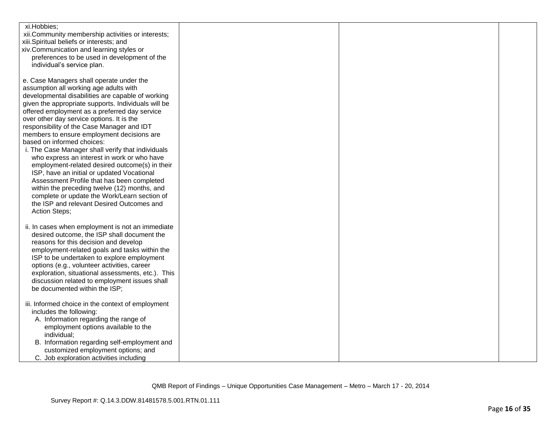| xi.Hobbies;                                                                                   |  |  |
|-----------------------------------------------------------------------------------------------|--|--|
| xii.Community membership activities or interests;<br>xiii.Spiritual beliefs or interests; and |  |  |
| xiv.Communication and learning styles or                                                      |  |  |
| preferences to be used in development of the                                                  |  |  |
| individual's service plan.                                                                    |  |  |
|                                                                                               |  |  |
| e. Case Managers shall operate under the                                                      |  |  |
| assumption all working age adults with                                                        |  |  |
| developmental disabilities are capable of working                                             |  |  |
| given the appropriate supports. Individuals will be                                           |  |  |
| offered employment as a preferred day service                                                 |  |  |
| over other day service options. It is the                                                     |  |  |
| responsibility of the Case Manager and IDT<br>members to ensure employment decisions are      |  |  |
| based on informed choices:                                                                    |  |  |
| i. The Case Manager shall verify that individuals                                             |  |  |
| who express an interest in work or who have                                                   |  |  |
| employment-related desired outcome(s) in their                                                |  |  |
| ISP, have an initial or updated Vocational                                                    |  |  |
| Assessment Profile that has been completed                                                    |  |  |
| within the preceding twelve (12) months, and                                                  |  |  |
| complete or update the Work/Learn section of                                                  |  |  |
| the ISP and relevant Desired Outcomes and                                                     |  |  |
| Action Steps;                                                                                 |  |  |
| ii. In cases when employment is not an immediate                                              |  |  |
| desired outcome, the ISP shall document the                                                   |  |  |
| reasons for this decision and develop                                                         |  |  |
| employment-related goals and tasks within the                                                 |  |  |
| ISP to be undertaken to explore employment                                                    |  |  |
| options (e.g., volunteer activities, career                                                   |  |  |
| exploration, situational assessments, etc.). This                                             |  |  |
| discussion related to employment issues shall                                                 |  |  |
| be documented within the ISP;                                                                 |  |  |
| iii. Informed choice in the context of employment                                             |  |  |
| includes the following:                                                                       |  |  |
| A. Information regarding the range of                                                         |  |  |
| employment options available to the                                                           |  |  |
| individual;                                                                                   |  |  |
| B. Information regarding self-employment and                                                  |  |  |
| customized employment options; and                                                            |  |  |
| C. Job exploration activities including                                                       |  |  |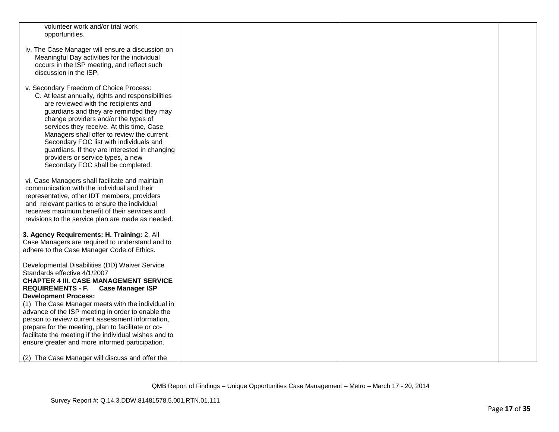| volunteer work and/or trial work                       |  |  |
|--------------------------------------------------------|--|--|
| opportunities.                                         |  |  |
|                                                        |  |  |
| iv. The Case Manager will ensure a discussion on       |  |  |
|                                                        |  |  |
| Meaningful Day activities for the individual           |  |  |
| occurs in the ISP meeting, and reflect such            |  |  |
| discussion in the ISP.                                 |  |  |
|                                                        |  |  |
| v. Secondary Freedom of Choice Process:                |  |  |
| C. At least annually, rights and responsibilities      |  |  |
|                                                        |  |  |
| are reviewed with the recipients and                   |  |  |
| guardians and they are reminded they may               |  |  |
| change providers and/or the types of                   |  |  |
| services they receive. At this time, Case              |  |  |
| Managers shall offer to review the current             |  |  |
| Secondary FOC list with individuals and                |  |  |
| guardians. If they are interested in changing          |  |  |
|                                                        |  |  |
| providers or service types, a new                      |  |  |
| Secondary FOC shall be completed.                      |  |  |
|                                                        |  |  |
| vi. Case Managers shall facilitate and maintain        |  |  |
| communication with the individual and their            |  |  |
| representative, other IDT members, providers           |  |  |
| and relevant parties to ensure the individual          |  |  |
| receives maximum benefit of their services and         |  |  |
|                                                        |  |  |
| revisions to the service plan are made as needed.      |  |  |
|                                                        |  |  |
| 3. Agency Requirements: H. Training: 2. All            |  |  |
| Case Managers are required to understand and to        |  |  |
| adhere to the Case Manager Code of Ethics.             |  |  |
|                                                        |  |  |
| Developmental Disabilities (DD) Waiver Service         |  |  |
| Standards effective 4/1/2007                           |  |  |
| <b>CHAPTER 4 III. CASE MANAGEMENT SERVICE</b>          |  |  |
| REQUIREMENTS - F. Case Manager ISP                     |  |  |
|                                                        |  |  |
| <b>Development Process:</b>                            |  |  |
| (1) The Case Manager meets with the individual in      |  |  |
| advance of the ISP meeting in order to enable the      |  |  |
| person to review current assessment information,       |  |  |
| prepare for the meeting, plan to facilitate or co-     |  |  |
| facilitate the meeting if the individual wishes and to |  |  |
| ensure greater and more informed participation.        |  |  |
|                                                        |  |  |
| (2) The Case Manager will discuss and offer the        |  |  |
|                                                        |  |  |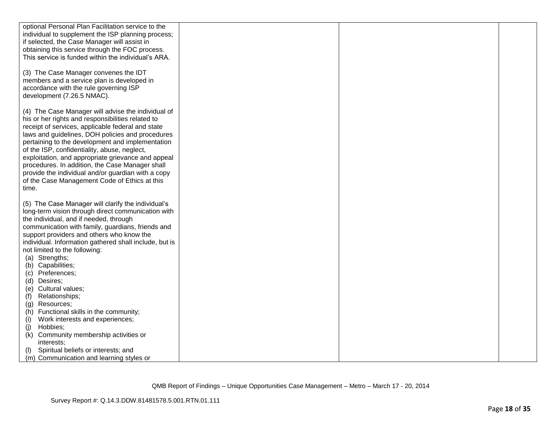| optional Personal Plan Facilitation service to the     |  |  |
|--------------------------------------------------------|--|--|
| individual to supplement the ISP planning process;     |  |  |
| if selected, the Case Manager will assist in           |  |  |
|                                                        |  |  |
| obtaining this service through the FOC process.        |  |  |
| This service is funded within the individual's ARA.    |  |  |
|                                                        |  |  |
| (3) The Case Manager convenes the IDT                  |  |  |
| members and a service plan is developed in             |  |  |
| accordance with the rule governing ISP                 |  |  |
| development (7.26.5 NMAC).                             |  |  |
|                                                        |  |  |
| (4) The Case Manager will advise the individual of     |  |  |
| his or her rights and responsibilities related to      |  |  |
| receipt of services, applicable federal and state      |  |  |
| laws and guidelines, DOH policies and procedures       |  |  |
| pertaining to the development and implementation       |  |  |
| of the ISP, confidentiality, abuse, neglect,           |  |  |
| exploitation, and appropriate grievance and appeal     |  |  |
| procedures. In addition, the Case Manager shall        |  |  |
| provide the individual and/or guardian with a copy     |  |  |
|                                                        |  |  |
| of the Case Management Code of Ethics at this          |  |  |
| time.                                                  |  |  |
|                                                        |  |  |
| (5) The Case Manager will clarify the individual's     |  |  |
| long-term vision through direct communication with     |  |  |
| the individual, and if needed, through                 |  |  |
| communication with family, guardians, friends and      |  |  |
| support providers and others who know the              |  |  |
| individual. Information gathered shall include, but is |  |  |
| not limited to the following:                          |  |  |
| (a) Strengths;                                         |  |  |
| (b) Capabilities;                                      |  |  |
| (c) Preferences;                                       |  |  |
| (d) Desires;                                           |  |  |
| (e) Cultural values;                                   |  |  |
| Relationships;<br>(f)                                  |  |  |
| Resources;<br>(g)                                      |  |  |
| (h) Functional skills in the community;                |  |  |
| Work interests and experiences;<br>(i)                 |  |  |
| Hobbies;<br>(j)                                        |  |  |
| Community membership activities or<br>(k)              |  |  |
| interests:                                             |  |  |
| Spiritual beliefs or interests; and<br>(1)             |  |  |
| (m) Communication and learning styles or               |  |  |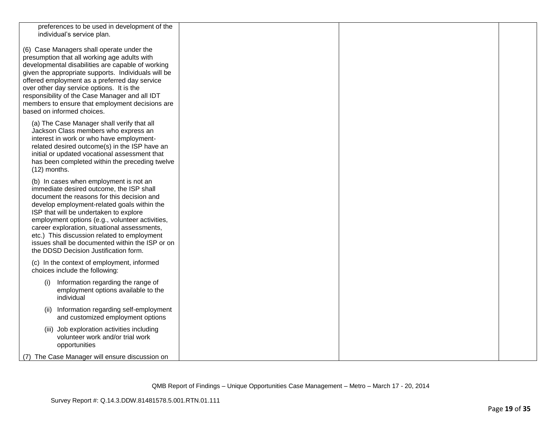| preferences to be used in development of the<br>individual's service plan.                     |  |  |
|------------------------------------------------------------------------------------------------|--|--|
|                                                                                                |  |  |
| (6) Case Managers shall operate under the                                                      |  |  |
| presumption that all working age adults with                                                   |  |  |
| developmental disabilities are capable of working                                              |  |  |
| given the appropriate supports. Individuals will be                                            |  |  |
| offered employment as a preferred day service<br>over other day service options. It is the     |  |  |
| responsibility of the Case Manager and all IDT                                                 |  |  |
| members to ensure that employment decisions are                                                |  |  |
| based on informed choices.                                                                     |  |  |
| (a) The Case Manager shall verify that all                                                     |  |  |
| Jackson Class members who express an                                                           |  |  |
| interest in work or who have employment-<br>related desired outcome(s) in the ISP have an      |  |  |
| initial or updated vocational assessment that                                                  |  |  |
| has been completed within the preceding twelve                                                 |  |  |
| $(12)$ months.                                                                                 |  |  |
| (b) In cases when employment is not an                                                         |  |  |
| immediate desired outcome, the ISP shall                                                       |  |  |
| document the reasons for this decision and<br>develop employment-related goals within the      |  |  |
| ISP that will be undertaken to explore                                                         |  |  |
| employment options (e.g., volunteer activities,                                                |  |  |
| career exploration, situational assessments,                                                   |  |  |
| etc.) This discussion related to employment<br>issues shall be documented within the ISP or on |  |  |
| the DDSD Decision Justification form.                                                          |  |  |
| (c) In the context of employment, informed                                                     |  |  |
| choices include the following:                                                                 |  |  |
| Information regarding the range of<br>(i)                                                      |  |  |
| employment options available to the                                                            |  |  |
| individual                                                                                     |  |  |
| (ii) Information regarding self-employment                                                     |  |  |
| and customized employment options                                                              |  |  |
| (iii) Job exploration activities including                                                     |  |  |
| volunteer work and/or trial work                                                               |  |  |
| opportunities                                                                                  |  |  |
| (7) The Case Manager will ensure discussion on                                                 |  |  |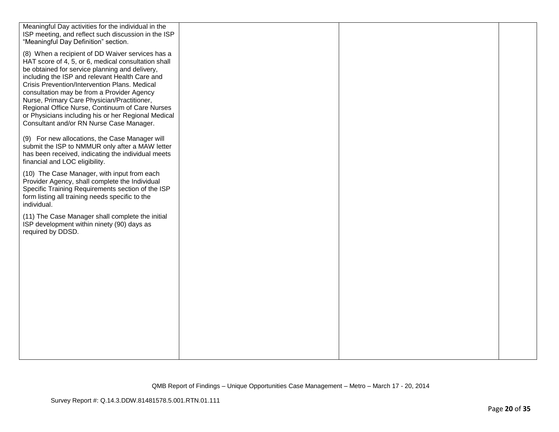| Meaningful Day activities for the individual in the<br>ISP meeting, and reflect such discussion in the ISP<br>"Meaningful Day Definition" section.                                                                                                                                                                                                                                                                                                                                                              |  |  |
|-----------------------------------------------------------------------------------------------------------------------------------------------------------------------------------------------------------------------------------------------------------------------------------------------------------------------------------------------------------------------------------------------------------------------------------------------------------------------------------------------------------------|--|--|
| (8) When a recipient of DD Waiver services has a<br>HAT score of 4, 5, or 6, medical consultation shall<br>be obtained for service planning and delivery,<br>including the ISP and relevant Health Care and<br>Crisis Prevention/Intervention Plans. Medical<br>consultation may be from a Provider Agency<br>Nurse, Primary Care Physician/Practitioner,<br>Regional Office Nurse, Continuum of Care Nurses<br>or Physicians including his or her Regional Medical<br>Consultant and/or RN Nurse Case Manager. |  |  |
| (9) For new allocations, the Case Manager will<br>submit the ISP to NMMUR only after a MAW letter<br>has been received, indicating the individual meets<br>financial and LOC eligibility.                                                                                                                                                                                                                                                                                                                       |  |  |
| (10) The Case Manager, with input from each<br>Provider Agency, shall complete the Individual<br>Specific Training Requirements section of the ISP<br>form listing all training needs specific to the<br>individual.                                                                                                                                                                                                                                                                                            |  |  |
| (11) The Case Manager shall complete the initial<br>ISP development within ninety (90) days as<br>required by DDSD.                                                                                                                                                                                                                                                                                                                                                                                             |  |  |
|                                                                                                                                                                                                                                                                                                                                                                                                                                                                                                                 |  |  |
|                                                                                                                                                                                                                                                                                                                                                                                                                                                                                                                 |  |  |
|                                                                                                                                                                                                                                                                                                                                                                                                                                                                                                                 |  |  |
|                                                                                                                                                                                                                                                                                                                                                                                                                                                                                                                 |  |  |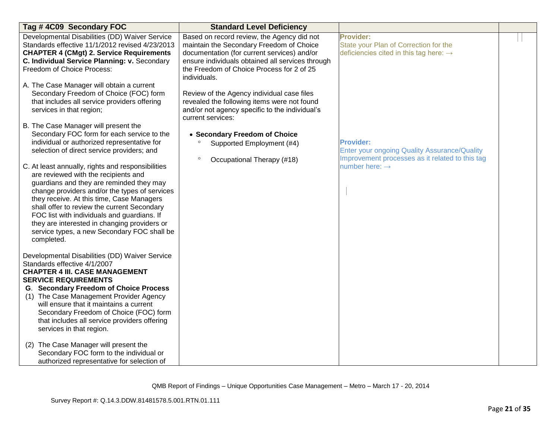| Tag # 4C09 Secondary FOC                                                                                                                                                                                                                                                                                                                                                                                                                       | <b>Standard Level Deficiency</b>                                                                                                                                                                                                                       |                                                                                                                            |  |
|------------------------------------------------------------------------------------------------------------------------------------------------------------------------------------------------------------------------------------------------------------------------------------------------------------------------------------------------------------------------------------------------------------------------------------------------|--------------------------------------------------------------------------------------------------------------------------------------------------------------------------------------------------------------------------------------------------------|----------------------------------------------------------------------------------------------------------------------------|--|
| Developmental Disabilities (DD) Waiver Service<br>Standards effective 11/1/2012 revised 4/23/2013<br><b>CHAPTER 4 (CMgt) 2. Service Requirements</b><br>C. Individual Service Planning: v. Secondary<br>Freedom of Choice Process:                                                                                                                                                                                                             | Based on record review, the Agency did not<br>maintain the Secondary Freedom of Choice<br>documentation (for current services) and/or<br>ensure individuals obtained all services through<br>the Freedom of Choice Process for 2 of 25<br>individuals. | <b>Provider:</b><br>State your Plan of Correction for the<br>deficiencies cited in this tag here: $\rightarrow$            |  |
| A. The Case Manager will obtain a current<br>Secondary Freedom of Choice (FOC) form<br>that includes all service providers offering<br>services in that region;                                                                                                                                                                                                                                                                                | Review of the Agency individual case files<br>revealed the following items were not found<br>and/or not agency specific to the individual's<br>current services:                                                                                       |                                                                                                                            |  |
| B. The Case Manager will present the<br>Secondary FOC form for each service to the<br>individual or authorized representative for<br>selection of direct service providers; and                                                                                                                                                                                                                                                                | • Secondary Freedom of Choice<br>Supported Employment (#4)<br>$\circ$<br>Occupational Therapy (#18)                                                                                                                                                    | <b>Provider:</b><br><b>Enter your ongoing Quality Assurance/Quality</b><br>Improvement processes as it related to this tag |  |
| C. At least annually, rights and responsibilities<br>are reviewed with the recipients and<br>guardians and they are reminded they may<br>change providers and/or the types of services<br>they receive. At this time, Case Managers<br>shall offer to review the current Secondary<br>FOC list with individuals and guardians. If<br>they are interested in changing providers or<br>service types, a new Secondary FOC shall be<br>completed. |                                                                                                                                                                                                                                                        | number here: $\rightarrow$                                                                                                 |  |
| Developmental Disabilities (DD) Waiver Service<br>Standards effective 4/1/2007<br><b>CHAPTER 4 III. CASE MANAGEMENT</b><br><b>SERVICE REQUIREMENTS</b><br><b>G. Secondary Freedom of Choice Process</b><br>(1) The Case Management Provider Agency<br>will ensure that it maintains a current<br>Secondary Freedom of Choice (FOC) form<br>that includes all service providers offering<br>services in that region.                            |                                                                                                                                                                                                                                                        |                                                                                                                            |  |
| (2) The Case Manager will present the<br>Secondary FOC form to the individual or<br>authorized representative for selection of                                                                                                                                                                                                                                                                                                                 |                                                                                                                                                                                                                                                        |                                                                                                                            |  |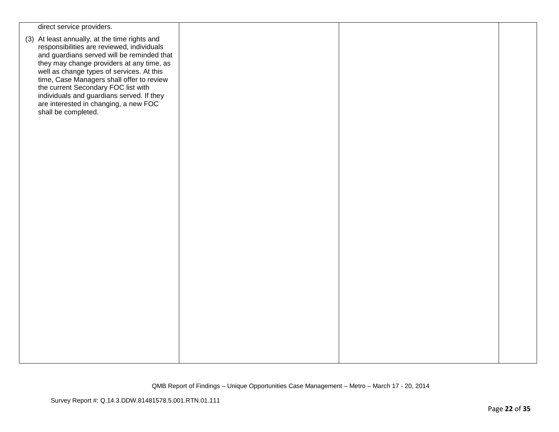| direct service providers.                                                                                                                                                                                                                                                                                                                                                                                                            |  |  |
|--------------------------------------------------------------------------------------------------------------------------------------------------------------------------------------------------------------------------------------------------------------------------------------------------------------------------------------------------------------------------------------------------------------------------------------|--|--|
| (3) At least annually, at the time rights and<br>responsibilities are reviewed, individuals<br>and guardians served will be reminded that<br>they may change providers at any time, as<br>well as change types of services. At this<br>time, Case Managers shall offer to review<br>the current Secondary FOC list with<br>individuals and guardians served. If they<br>are interested in changing, a new FOC<br>shall be completed. |  |  |
|                                                                                                                                                                                                                                                                                                                                                                                                                                      |  |  |
|                                                                                                                                                                                                                                                                                                                                                                                                                                      |  |  |
|                                                                                                                                                                                                                                                                                                                                                                                                                                      |  |  |
|                                                                                                                                                                                                                                                                                                                                                                                                                                      |  |  |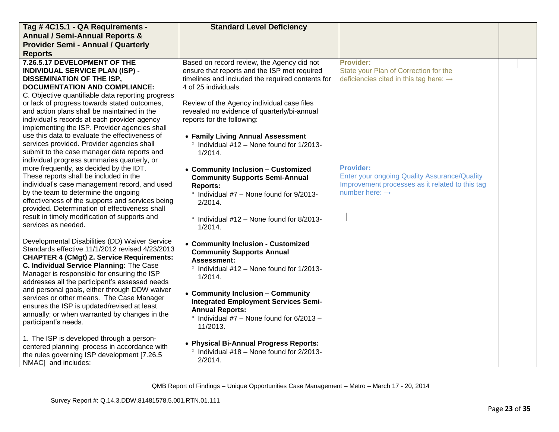| Tag #4C15.1 - QA Requirements -                                                                     | <b>Standard Level Deficiency</b>                                      |                                                     |  |
|-----------------------------------------------------------------------------------------------------|-----------------------------------------------------------------------|-----------------------------------------------------|--|
| <b>Annual / Semi-Annual Reports &amp;</b>                                                           |                                                                       |                                                     |  |
| <b>Provider Semi - Annual / Quarterly</b>                                                           |                                                                       |                                                     |  |
| <b>Reports</b>                                                                                      |                                                                       |                                                     |  |
| 7.26.5.17 DEVELOPMENT OF THE                                                                        | Based on record review, the Agency did not                            | Provider:                                           |  |
| <b>INDIVIDUAL SERVICE PLAN (ISP) -</b>                                                              | ensure that reports and the ISP met required                          | State your Plan of Correction for the               |  |
| <b>DISSEMINATION OF THE ISP,</b>                                                                    | timelines and included the required contents for                      | deficiencies cited in this tag here: $\rightarrow$  |  |
| <b>DOCUMENTATION AND COMPLIANCE:</b>                                                                | 4 of 25 individuals.                                                  |                                                     |  |
| C. Objective quantifiable data reporting progress                                                   |                                                                       |                                                     |  |
| or lack of progress towards stated outcomes,                                                        | Review of the Agency individual case files                            |                                                     |  |
| and action plans shall be maintained in the                                                         | revealed no evidence of quarterly/bi-annual                           |                                                     |  |
| individual's records at each provider agency<br>implementing the ISP. Provider agencies shall       | reports for the following:                                            |                                                     |  |
| use this data to evaluate the effectiveness of                                                      | • Family Living Annual Assessment                                     |                                                     |  |
| services provided. Provider agencies shall                                                          | $\degree$ Individual #12 – None found for 1/2013-                     |                                                     |  |
| submit to the case manager data reports and                                                         | 1/2014.                                                               |                                                     |  |
| individual progress summaries quarterly, or                                                         |                                                                       |                                                     |  |
| more frequently, as decided by the IDT.                                                             | • Community Inclusion - Customized                                    | <b>Provider:</b>                                    |  |
| These reports shall be included in the                                                              | <b>Community Supports Semi-Annual</b>                                 | <b>Enter your ongoing Quality Assurance/Quality</b> |  |
| individual's case management record, and used                                                       | <b>Reports:</b>                                                       | Improvement processes as it related to this tag     |  |
| by the team to determine the ongoing                                                                | <sup>o</sup> Individual #7 - None found for 9/2013-                   | number here: $\rightarrow$                          |  |
| effectiveness of the supports and services being                                                    | $2/2014$ .                                                            |                                                     |  |
| provided. Determination of effectiveness shall                                                      |                                                                       |                                                     |  |
| result in timely modification of supports and                                                       | ° Individual #12 - None found for 8/2013-                             |                                                     |  |
| services as needed.                                                                                 | 1/2014.                                                               |                                                     |  |
|                                                                                                     |                                                                       |                                                     |  |
| Developmental Disabilities (DD) Waiver Service                                                      | • Community Inclusion - Customized                                    |                                                     |  |
| Standards effective 11/1/2012 revised 4/23/2013<br><b>CHAPTER 4 (CMgt) 2. Service Requirements:</b> | <b>Community Supports Annual</b>                                      |                                                     |  |
| C. Individual Service Planning: The Case                                                            | Assessment:                                                           |                                                     |  |
| Manager is responsible for ensuring the ISP                                                         | $\degree$ Individual #12 – None found for 1/2013-                     |                                                     |  |
| addresses all the participant's assessed needs                                                      | 1/2014.                                                               |                                                     |  |
| and personal goals, either through DDW waiver                                                       |                                                                       |                                                     |  |
| services or other means. The Case Manager                                                           | • Community Inclusion - Community                                     |                                                     |  |
| ensures the ISP is updated/revised at least                                                         | <b>Integrated Employment Services Semi-</b><br><b>Annual Reports:</b> |                                                     |  |
| annually; or when warranted by changes in the                                                       | $\degree$ Individual #7 - None found for 6/2013 -                     |                                                     |  |
| participant's needs.                                                                                | 11/2013.                                                              |                                                     |  |
|                                                                                                     |                                                                       |                                                     |  |
| 1. The ISP is developed through a person-                                                           | • Physical Bi-Annual Progress Reports:                                |                                                     |  |
| centered planning process in accordance with                                                        | $\degree$ Individual #18 – None found for 2/2013-                     |                                                     |  |
| the rules governing ISP development [7.26.5]                                                        | 2/2014.                                                               |                                                     |  |
| NMAC] and includes:                                                                                 |                                                                       |                                                     |  |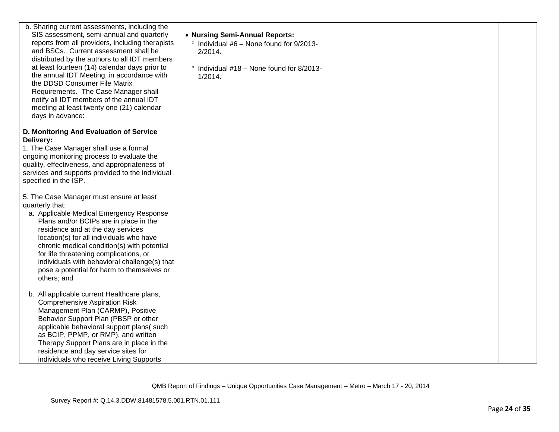| b. Sharing current assessments, including the<br>SIS assessment, semi-annual and quarterly<br>reports from all providers, including therapists<br>and BSCs. Current assessment shall be<br>distributed by the authors to all IDT members<br>at least fourteen (14) calendar days prior to<br>the annual IDT Meeting, in accordance with<br>the DDSD Consumer File Matrix<br>Requirements. The Case Manager shall<br>notify all IDT members of the annual IDT<br>meeting at least twenty one (21) calendar<br>days in advance: | • Nursing Semi-Annual Reports:<br>° Individual #6 - None found for 9/2013-<br>2/2014.<br>° Individual #18 - None found for 8/2013-<br>1/2014. |  |
|-------------------------------------------------------------------------------------------------------------------------------------------------------------------------------------------------------------------------------------------------------------------------------------------------------------------------------------------------------------------------------------------------------------------------------------------------------------------------------------------------------------------------------|-----------------------------------------------------------------------------------------------------------------------------------------------|--|
| D. Monitoring And Evaluation of Service<br>Delivery:<br>1. The Case Manager shall use a formal<br>ongoing monitoring process to evaluate the<br>quality, effectiveness, and appropriateness of<br>services and supports provided to the individual<br>specified in the ISP.                                                                                                                                                                                                                                                   |                                                                                                                                               |  |
| 5. The Case Manager must ensure at least<br>quarterly that:<br>a. Applicable Medical Emergency Response<br>Plans and/or BCIPs are in place in the<br>residence and at the day services<br>location(s) for all individuals who have<br>chronic medical condition(s) with potential<br>for life threatening complications, or<br>individuals with behavioral challenge(s) that<br>pose a potential for harm to themselves or<br>others; and                                                                                     |                                                                                                                                               |  |
| b. All applicable current Healthcare plans,<br><b>Comprehensive Aspiration Risk</b><br>Management Plan (CARMP), Positive<br>Behavior Support Plan (PBSP or other<br>applicable behavioral support plans(such<br>as BCIP, PPMP, or RMP), and written<br>Therapy Support Plans are in place in the<br>residence and day service sites for<br>individuals who receive Living Supports                                                                                                                                            |                                                                                                                                               |  |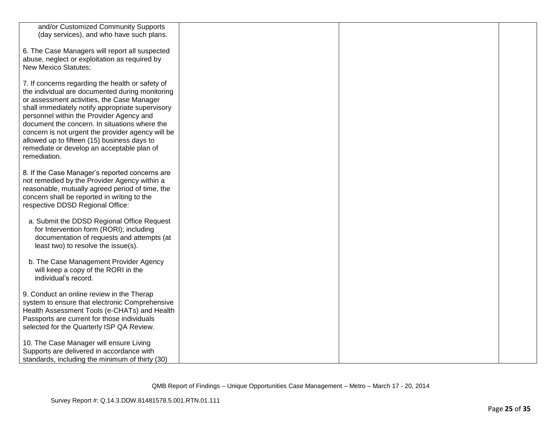| and/or Customized Community Supports              |  |  |
|---------------------------------------------------|--|--|
| (day services), and who have such plans.          |  |  |
|                                                   |  |  |
|                                                   |  |  |
| 6. The Case Managers will report all suspected    |  |  |
| abuse, neglect or exploitation as required by     |  |  |
| <b>New Mexico Statutes;</b>                       |  |  |
|                                                   |  |  |
|                                                   |  |  |
| 7. If concerns regarding the health or safety of  |  |  |
| the individual are documented during monitoring   |  |  |
| or assessment activities, the Case Manager        |  |  |
|                                                   |  |  |
| shall immediately notify appropriate supervisory  |  |  |
| personnel within the Provider Agency and          |  |  |
| document the concern. In situations where the     |  |  |
| concern is not urgent the provider agency will be |  |  |
| allowed up to fifteen (15) business days to       |  |  |
|                                                   |  |  |
| remediate or develop an acceptable plan of        |  |  |
| remediation.                                      |  |  |
|                                                   |  |  |
| 8. If the Case Manager's reported concerns are    |  |  |
|                                                   |  |  |
| not remedied by the Provider Agency within a      |  |  |
| reasonable, mutually agreed period of time, the   |  |  |
| concern shall be reported in writing to the       |  |  |
| respective DDSD Regional Office:                  |  |  |
|                                                   |  |  |
|                                                   |  |  |
| a. Submit the DDSD Regional Office Request        |  |  |
| for Intervention form (RORI); including           |  |  |
| documentation of requests and attempts (at        |  |  |
|                                                   |  |  |
| least two) to resolve the issue(s).               |  |  |
|                                                   |  |  |
| b. The Case Management Provider Agency            |  |  |
| will keep a copy of the RORI in the               |  |  |
| individual's record.                              |  |  |
|                                                   |  |  |
|                                                   |  |  |
| 9. Conduct an online review in the Therap         |  |  |
| system to ensure that electronic Comprehensive    |  |  |
| Health Assessment Tools (e-CHATs) and Health      |  |  |
|                                                   |  |  |
| Passports are current for those individuals       |  |  |
| selected for the Quarterly ISP QA Review.         |  |  |
|                                                   |  |  |
| 10. The Case Manager will ensure Living           |  |  |
|                                                   |  |  |
| Supports are delivered in accordance with         |  |  |
| standards, including the minimum of thirty (30)   |  |  |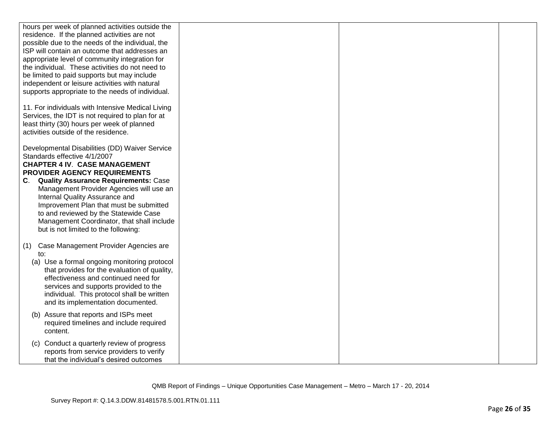| hours per week of planned activities outside the                                                                                                                                             |  |  |
|----------------------------------------------------------------------------------------------------------------------------------------------------------------------------------------------|--|--|
| residence. If the planned activities are not                                                                                                                                                 |  |  |
| possible due to the needs of the individual, the                                                                                                                                             |  |  |
| ISP will contain an outcome that addresses an                                                                                                                                                |  |  |
| appropriate level of community integration for                                                                                                                                               |  |  |
| the individual. These activities do not need to                                                                                                                                              |  |  |
| be limited to paid supports but may include                                                                                                                                                  |  |  |
| independent or leisure activities with natural<br>supports appropriate to the needs of individual.                                                                                           |  |  |
|                                                                                                                                                                                              |  |  |
| 11. For individuals with Intensive Medical Living<br>Services, the IDT is not required to plan for at<br>least thirty (30) hours per week of planned<br>activities outside of the residence. |  |  |
| Developmental Disabilities (DD) Waiver Service                                                                                                                                               |  |  |
| Standards effective 4/1/2007                                                                                                                                                                 |  |  |
| <b>CHAPTER 4 IV. CASE MANAGEMENT</b>                                                                                                                                                         |  |  |
| <b>PROVIDER AGENCY REQUIREMENTS</b>                                                                                                                                                          |  |  |
| <b>Quality Assurance Requirements: Case</b><br>C.                                                                                                                                            |  |  |
| Management Provider Agencies will use an                                                                                                                                                     |  |  |
| Internal Quality Assurance and                                                                                                                                                               |  |  |
| Improvement Plan that must be submitted                                                                                                                                                      |  |  |
| to and reviewed by the Statewide Case                                                                                                                                                        |  |  |
| Management Coordinator, that shall include                                                                                                                                                   |  |  |
| but is not limited to the following:                                                                                                                                                         |  |  |
| Case Management Provider Agencies are<br>(1)                                                                                                                                                 |  |  |
| to:                                                                                                                                                                                          |  |  |
| (a) Use a formal ongoing monitoring protocol                                                                                                                                                 |  |  |
| that provides for the evaluation of quality,                                                                                                                                                 |  |  |
| effectiveness and continued need for                                                                                                                                                         |  |  |
| services and supports provided to the                                                                                                                                                        |  |  |
| individual. This protocol shall be written                                                                                                                                                   |  |  |
| and its implementation documented.                                                                                                                                                           |  |  |
| Assure that reports and ISPs meet                                                                                                                                                            |  |  |
| required timelines and include required                                                                                                                                                      |  |  |
| content.                                                                                                                                                                                     |  |  |
|                                                                                                                                                                                              |  |  |
| Conduct a quarterly review of progress<br>(C)<br>reports from service providers to verify                                                                                                    |  |  |
| that the individual's desired outcomes                                                                                                                                                       |  |  |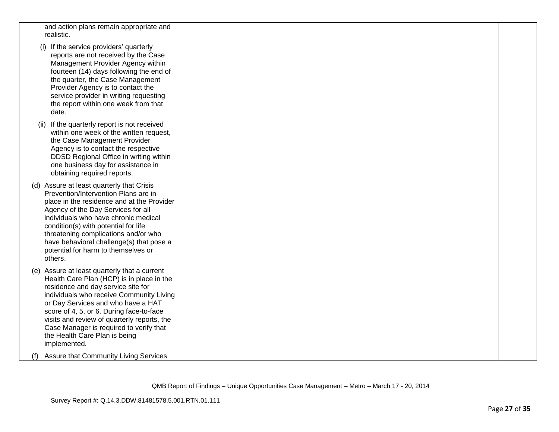| and action plans remain appropriate and<br>realistic.                                                                                                                                                                                                                                                                                                                                                    |  |  |
|----------------------------------------------------------------------------------------------------------------------------------------------------------------------------------------------------------------------------------------------------------------------------------------------------------------------------------------------------------------------------------------------------------|--|--|
| (i) If the service providers' quarterly<br>reports are not received by the Case<br>Management Provider Agency within<br>fourteen (14) days following the end of<br>the quarter, the Case Management<br>Provider Agency is to contact the<br>service provider in writing requesting<br>the report within one week from that<br>date.                                                                      |  |  |
| If the quarterly report is not received<br>(11)<br>within one week of the written request,<br>the Case Management Provider<br>Agency is to contact the respective<br>DDSD Regional Office in writing within<br>one business day for assistance in<br>obtaining required reports.                                                                                                                         |  |  |
| (d) Assure at least quarterly that Crisis<br>Prevention/Intervention Plans are in<br>place in the residence and at the Provider<br>Agency of the Day Services for all<br>individuals who have chronic medical<br>condition(s) with potential for life<br>threatening complications and/or who<br>have behavioral challenge(s) that pose a<br>potential for harm to themselves or<br>others.              |  |  |
| (e) Assure at least quarterly that a current<br>Health Care Plan (HCP) is in place in the<br>residence and day service site for<br>individuals who receive Community Living<br>or Day Services and who have a HAT<br>score of 4, 5, or 6. During face-to-face<br>visits and review of quarterly reports, the<br>Case Manager is required to verify that<br>the Health Care Plan is being<br>implemented. |  |  |
| <b>Assure that Community Living Services</b><br>(1)                                                                                                                                                                                                                                                                                                                                                      |  |  |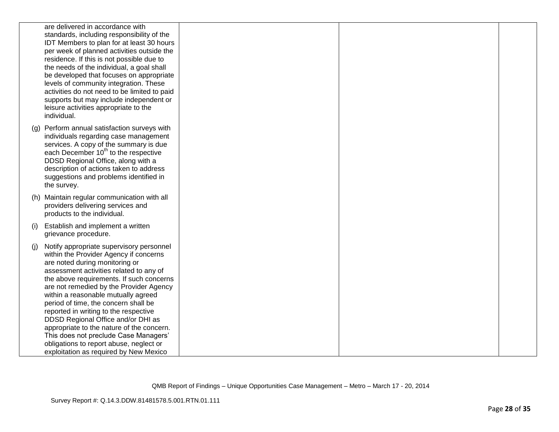| residence. If this is not possible due to                                                                                                                                                                                                                                                                                                                                                                                                                                                                                                                                                                                                                                                                                                                                                                                                                                                                                                                                                                                                                                                                                                                                                                                                                     |     | are delivered in accordance with                                                                                                      |
|---------------------------------------------------------------------------------------------------------------------------------------------------------------------------------------------------------------------------------------------------------------------------------------------------------------------------------------------------------------------------------------------------------------------------------------------------------------------------------------------------------------------------------------------------------------------------------------------------------------------------------------------------------------------------------------------------------------------------------------------------------------------------------------------------------------------------------------------------------------------------------------------------------------------------------------------------------------------------------------------------------------------------------------------------------------------------------------------------------------------------------------------------------------------------------------------------------------------------------------------------------------|-----|---------------------------------------------------------------------------------------------------------------------------------------|
| the needs of the individual, a goal shall<br>be developed that focuses on appropriate<br>levels of community integration. These<br>activities do not need to be limited to paid<br>supports but may include independent or<br>leisure activities appropriate to the<br>individual.<br>individuals regarding case management<br>services. A copy of the summary is due<br>each December 10 <sup>th</sup> to the respective<br>DDSD Regional Office, along with a<br>description of actions taken to address<br>suggestions and problems identified in<br>the survey.<br>providers delivering services and<br>products to the individual.<br>Establish and implement a written<br>grievance procedure.<br>Notify appropriate supervisory personnel<br>within the Provider Agency if concerns<br>are noted during monitoring or<br>assessment activities related to any of<br>the above requirements. If such concerns<br>are not remedied by the Provider Agency<br>within a reasonable mutually agreed<br>period of time, the concern shall be<br>reported in writing to the respective<br>DDSD Regional Office and/or DHI as<br>appropriate to the nature of the concern.<br>This does not preclude Case Managers'<br>obligations to report abuse, neglect or |     | standards, including responsibility of the<br>IDT Members to plan for at least 30 hours<br>per week of planned activities outside the |
| (g) Perform annual satisfaction surveys with                                                                                                                                                                                                                                                                                                                                                                                                                                                                                                                                                                                                                                                                                                                                                                                                                                                                                                                                                                                                                                                                                                                                                                                                                  |     |                                                                                                                                       |
| (h) Maintain regular communication with all<br>(i)                                                                                                                                                                                                                                                                                                                                                                                                                                                                                                                                                                                                                                                                                                                                                                                                                                                                                                                                                                                                                                                                                                                                                                                                            |     |                                                                                                                                       |
|                                                                                                                                                                                                                                                                                                                                                                                                                                                                                                                                                                                                                                                                                                                                                                                                                                                                                                                                                                                                                                                                                                                                                                                                                                                               |     |                                                                                                                                       |
|                                                                                                                                                                                                                                                                                                                                                                                                                                                                                                                                                                                                                                                                                                                                                                                                                                                                                                                                                                                                                                                                                                                                                                                                                                                               |     |                                                                                                                                       |
|                                                                                                                                                                                                                                                                                                                                                                                                                                                                                                                                                                                                                                                                                                                                                                                                                                                                                                                                                                                                                                                                                                                                                                                                                                                               | (i) |                                                                                                                                       |
| exploitation as required by New Mexico                                                                                                                                                                                                                                                                                                                                                                                                                                                                                                                                                                                                                                                                                                                                                                                                                                                                                                                                                                                                                                                                                                                                                                                                                        |     |                                                                                                                                       |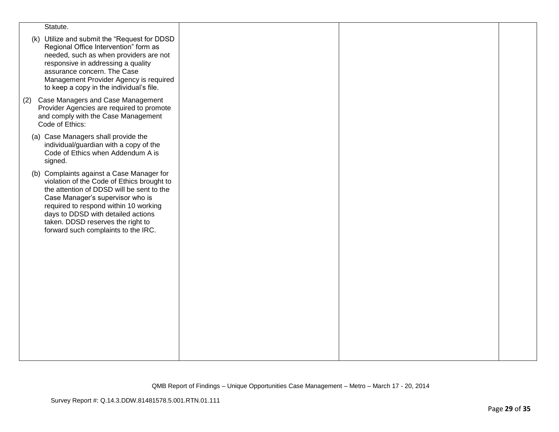| Statute.                                                                                                                                                                                                                                                                                                                            |  |  |
|-------------------------------------------------------------------------------------------------------------------------------------------------------------------------------------------------------------------------------------------------------------------------------------------------------------------------------------|--|--|
| (k) Utilize and submit the "Request for DDSD<br>Regional Office Intervention" form as<br>needed, such as when providers are not<br>responsive in addressing a quality<br>assurance concern. The Case<br>Management Provider Agency is required<br>to keep a copy in the individual's file.                                          |  |  |
| Case Managers and Case Management<br>(2)<br>Provider Agencies are required to promote<br>and comply with the Case Management<br>Code of Ethics:                                                                                                                                                                                     |  |  |
| (a) Case Managers shall provide the<br>individual/guardian with a copy of the<br>Code of Ethics when Addendum A is<br>signed.                                                                                                                                                                                                       |  |  |
| (b) Complaints against a Case Manager for<br>violation of the Code of Ethics brought to<br>the attention of DDSD will be sent to the<br>Case Manager's supervisor who is<br>required to respond within 10 working<br>days to DDSD with detailed actions<br>taken. DDSD reserves the right to<br>forward such complaints to the IRC. |  |  |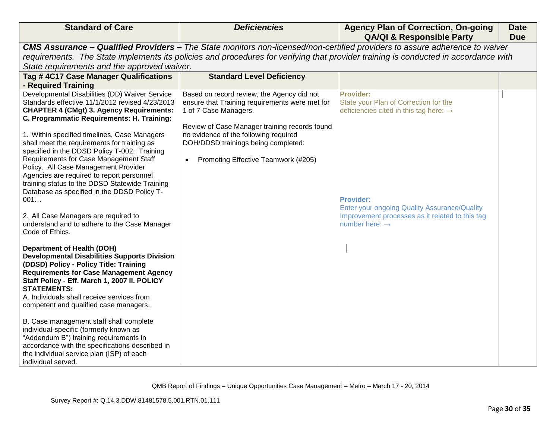| <b>Standard of Care</b>                                                                       | <b>Deficiencies</b>                            | <b>Agency Plan of Correction, On-going</b><br><b>QA/QI &amp; Responsible Party</b>                                                  | <b>Date</b><br><b>Due</b> |
|-----------------------------------------------------------------------------------------------|------------------------------------------------|-------------------------------------------------------------------------------------------------------------------------------------|---------------------------|
|                                                                                               |                                                | CMS Assurance - Qualified Providers - The State monitors non-licensed/non-certified providers to assure adherence to waiver         |                           |
|                                                                                               |                                                | requirements. The State implements its policies and procedures for verifying that provider training is conducted in accordance with |                           |
| State requirements and the approved waiver.                                                   |                                                |                                                                                                                                     |                           |
| Tag #4C17 Case Manager Qualifications                                                         | <b>Standard Level Deficiency</b>               |                                                                                                                                     |                           |
| - Required Training                                                                           |                                                |                                                                                                                                     |                           |
| Developmental Disabilities (DD) Waiver Service                                                | Based on record review, the Agency did not     | Provider:                                                                                                                           |                           |
| Standards effective 11/1/2012 revised 4/23/2013                                               | ensure that Training requirements were met for | State your Plan of Correction for the                                                                                               |                           |
| <b>CHAPTER 4 (CMgt) 3. Agency Requirements:</b>                                               | 1 of 7 Case Managers.                          | deficiencies cited in this tag here: $\rightarrow$                                                                                  |                           |
| C. Programmatic Requirements: H. Training:                                                    | Review of Case Manager training records found  |                                                                                                                                     |                           |
| 1. Within specified timelines, Case Managers                                                  | no evidence of the following required          |                                                                                                                                     |                           |
| shall meet the requirements for training as                                                   | DOH/DDSD trainings being completed:            |                                                                                                                                     |                           |
| specified in the DDSD Policy T-002: Training                                                  |                                                |                                                                                                                                     |                           |
| Requirements for Case Management Staff                                                        | Promoting Effective Teamwork (#205)            |                                                                                                                                     |                           |
| Policy. All Case Management Provider                                                          |                                                |                                                                                                                                     |                           |
| Agencies are required to report personnel                                                     |                                                |                                                                                                                                     |                           |
| training status to the DDSD Statewide Training<br>Database as specified in the DDSD Policy T- |                                                |                                                                                                                                     |                           |
| 001                                                                                           |                                                | <b>Provider:</b>                                                                                                                    |                           |
|                                                                                               |                                                | <b>Enter your ongoing Quality Assurance/Quality</b>                                                                                 |                           |
| 2. All Case Managers are required to                                                          |                                                | Improvement processes as it related to this tag                                                                                     |                           |
| understand and to adhere to the Case Manager                                                  |                                                | number here: $\rightarrow$                                                                                                          |                           |
| Code of Ethics.                                                                               |                                                |                                                                                                                                     |                           |
|                                                                                               |                                                |                                                                                                                                     |                           |
| <b>Department of Health (DOH)</b><br><b>Developmental Disabilities Supports Division</b>      |                                                |                                                                                                                                     |                           |
| (DDSD) Policy - Policy Title: Training                                                        |                                                |                                                                                                                                     |                           |
| <b>Requirements for Case Management Agency</b>                                                |                                                |                                                                                                                                     |                           |
| Staff Policy - Eff. March 1, 2007 II. POLICY                                                  |                                                |                                                                                                                                     |                           |
| <b>STATEMENTS:</b>                                                                            |                                                |                                                                                                                                     |                           |
| A. Individuals shall receive services from                                                    |                                                |                                                                                                                                     |                           |
| competent and qualified case managers.                                                        |                                                |                                                                                                                                     |                           |
| B. Case management staff shall complete                                                       |                                                |                                                                                                                                     |                           |
| individual-specific (formerly known as                                                        |                                                |                                                                                                                                     |                           |
| "Addendum B") training requirements in                                                        |                                                |                                                                                                                                     |                           |
| accordance with the specifications described in                                               |                                                |                                                                                                                                     |                           |
| the individual service plan (ISP) of each                                                     |                                                |                                                                                                                                     |                           |
| individual served.                                                                            |                                                |                                                                                                                                     |                           |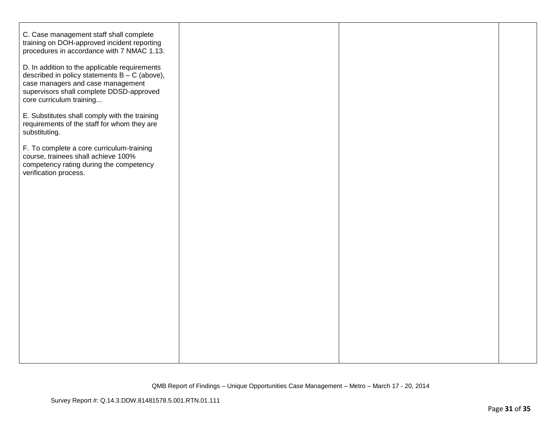| C. Case management staff shall complete<br>training on DOH-approved incident reporting<br>procedures in accordance with 7 NMAC 1.13.                                                                          |  |  |
|---------------------------------------------------------------------------------------------------------------------------------------------------------------------------------------------------------------|--|--|
| D. In addition to the applicable requirements<br>described in policy statements $B - C$ (above),<br>case managers and case management<br>supervisors shall complete DDSD-approved<br>core curriculum training |  |  |
| E. Substitutes shall comply with the training<br>requirements of the staff for whom they are<br>substituting.                                                                                                 |  |  |
| F. To complete a core curriculum-training<br>course, trainees shall achieve 100%<br>competency rating during the competency<br>verification process.                                                          |  |  |
|                                                                                                                                                                                                               |  |  |
|                                                                                                                                                                                                               |  |  |
|                                                                                                                                                                                                               |  |  |
|                                                                                                                                                                                                               |  |  |
|                                                                                                                                                                                                               |  |  |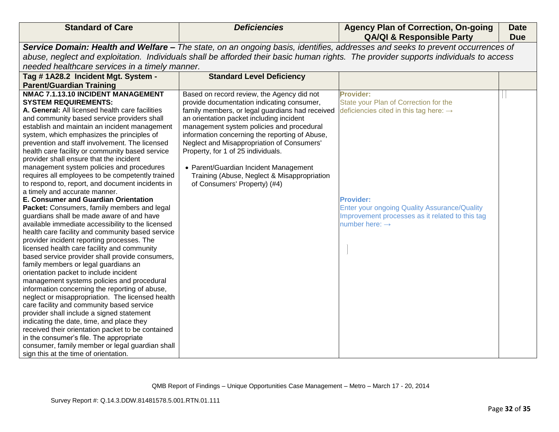| <b>Standard of Care</b>                                                                                                              | <b>Deficiencies</b>                             | <b>Agency Plan of Correction, On-going</b><br><b>QA/QI &amp; Responsible Party</b>                                             | <b>Date</b><br><b>Due</b> |  |
|--------------------------------------------------------------------------------------------------------------------------------------|-------------------------------------------------|--------------------------------------------------------------------------------------------------------------------------------|---------------------------|--|
|                                                                                                                                      |                                                 | Service Domain: Health and Welfare - The state, on an ongoing basis, identifies, addresses and seeks to prevent occurrences of |                           |  |
| abuse, neglect and exploitation. Individuals shall be afforded their basic human rights. The provider supports individuals to access |                                                 |                                                                                                                                |                           |  |
| needed healthcare services in a timely manner.                                                                                       |                                                 |                                                                                                                                |                           |  |
| Tag #1A28.2 Incident Mgt. System -                                                                                                   | <b>Standard Level Deficiency</b>                |                                                                                                                                |                           |  |
| <b>Parent/Guardian Training</b>                                                                                                      |                                                 |                                                                                                                                |                           |  |
| NMAC 7.1.13.10 INCIDENT MANAGEMENT                                                                                                   | Based on record review, the Agency did not      | <b>Provider:</b>                                                                                                               |                           |  |
| <b>SYSTEM REQUIREMENTS:</b>                                                                                                          | provide documentation indicating consumer,      | State your Plan of Correction for the                                                                                          |                           |  |
| A. General: All licensed health care facilities                                                                                      | family members, or legal guardians had received | deficiencies cited in this tag here: $\rightarrow$                                                                             |                           |  |
| and community based service providers shall                                                                                          | an orientation packet including incident        |                                                                                                                                |                           |  |
| establish and maintain an incident management                                                                                        | management system policies and procedural       |                                                                                                                                |                           |  |
| system, which emphasizes the principles of                                                                                           | information concerning the reporting of Abuse,  |                                                                                                                                |                           |  |
| prevention and staff involvement. The licensed                                                                                       | Neglect and Misappropriation of Consumers'      |                                                                                                                                |                           |  |
| health care facility or community based service<br>provider shall ensure that the incident                                           | Property, for 1 of 25 individuals.              |                                                                                                                                |                           |  |
| management system policies and procedures                                                                                            | • Parent/Guardian Incident Management           |                                                                                                                                |                           |  |
| requires all employees to be competently trained                                                                                     | Training (Abuse, Neglect & Misappropriation     |                                                                                                                                |                           |  |
| to respond to, report, and document incidents in                                                                                     | of Consumers' Property) (#4)                    |                                                                                                                                |                           |  |
| a timely and accurate manner.                                                                                                        |                                                 |                                                                                                                                |                           |  |
| E. Consumer and Guardian Orientation                                                                                                 |                                                 | <b>Provider:</b>                                                                                                               |                           |  |
| Packet: Consumers, family members and legal                                                                                          |                                                 | <b>Enter your ongoing Quality Assurance/Quality</b>                                                                            |                           |  |
| guardians shall be made aware of and have                                                                                            |                                                 | Improvement processes as it related to this tag                                                                                |                           |  |
| available immediate accessibility to the licensed                                                                                    |                                                 | number here: $\rightarrow$                                                                                                     |                           |  |
| health care facility and community based service                                                                                     |                                                 |                                                                                                                                |                           |  |
| provider incident reporting processes. The                                                                                           |                                                 |                                                                                                                                |                           |  |
| licensed health care facility and community                                                                                          |                                                 |                                                                                                                                |                           |  |
| based service provider shall provide consumers,<br>family members or legal guardians an                                              |                                                 |                                                                                                                                |                           |  |
| orientation packet to include incident                                                                                               |                                                 |                                                                                                                                |                           |  |
| management systems policies and procedural                                                                                           |                                                 |                                                                                                                                |                           |  |
| information concerning the reporting of abuse,                                                                                       |                                                 |                                                                                                                                |                           |  |
| neglect or misappropriation. The licensed health                                                                                     |                                                 |                                                                                                                                |                           |  |
| care facility and community based service                                                                                            |                                                 |                                                                                                                                |                           |  |
| provider shall include a signed statement                                                                                            |                                                 |                                                                                                                                |                           |  |
| indicating the date, time, and place they                                                                                            |                                                 |                                                                                                                                |                           |  |
| received their orientation packet to be contained                                                                                    |                                                 |                                                                                                                                |                           |  |
| in the consumer's file. The appropriate                                                                                              |                                                 |                                                                                                                                |                           |  |
| consumer, family member or legal guardian shall                                                                                      |                                                 |                                                                                                                                |                           |  |
| sign this at the time of orientation.                                                                                                |                                                 |                                                                                                                                |                           |  |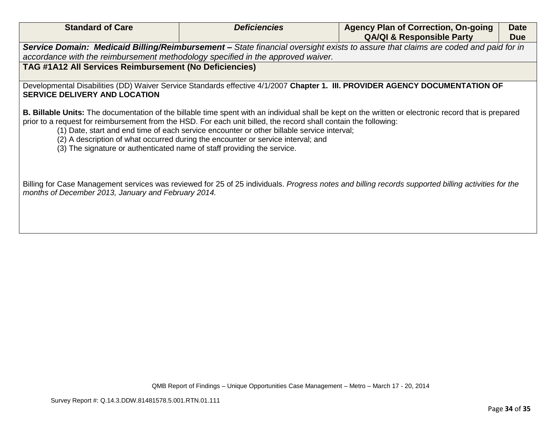|                                                                                                                                                                                                                                                                                                                                                                                                                                                                                                                                               | <b>Agency Plan of Correction, On-going</b><br><b>QA/QI &amp; Responsible Party</b> | <b>Date</b><br><b>Due</b> |  |
|-----------------------------------------------------------------------------------------------------------------------------------------------------------------------------------------------------------------------------------------------------------------------------------------------------------------------------------------------------------------------------------------------------------------------------------------------------------------------------------------------------------------------------------------------|------------------------------------------------------------------------------------|---------------------------|--|
| Service Domain: Medicaid Billing/Reimbursement - State financial oversight exists to assure that claims are coded and paid for in                                                                                                                                                                                                                                                                                                                                                                                                             |                                                                                    |                           |  |
| accordance with the reimbursement methodology specified in the approved waiver.                                                                                                                                                                                                                                                                                                                                                                                                                                                               |                                                                                    |                           |  |
| TAG #1A12 All Services Reimbursement (No Deficiencies)                                                                                                                                                                                                                                                                                                                                                                                                                                                                                        |                                                                                    |                           |  |
| Developmental Disabilities (DD) Waiver Service Standards effective 4/1/2007 Chapter 1. III. PROVIDER AGENCY DOCUMENTATION OF<br><b>SERVICE DELIVERY AND LOCATION</b>                                                                                                                                                                                                                                                                                                                                                                          |                                                                                    |                           |  |
| <b>B. Billable Units:</b> The documentation of the billable time spent with an individual shall be kept on the written or electronic record that is prepared<br>prior to a request for reimbursement from the HSD. For each unit billed, the record shall contain the following:<br>(1) Date, start and end time of each service encounter or other billable service interval;<br>(2) A description of what occurred during the encounter or service interval; and<br>(3) The signature or authenticated name of staff providing the service. |                                                                                    |                           |  |
| Billing for Case Management services was reviewed for 25 of 25 individuals. Progress notes and billing records supported billing activities for the<br>months of December 2013, January and February 2014.                                                                                                                                                                                                                                                                                                                                    |                                                                                    |                           |  |
|                                                                                                                                                                                                                                                                                                                                                                                                                                                                                                                                               |                                                                                    |                           |  |